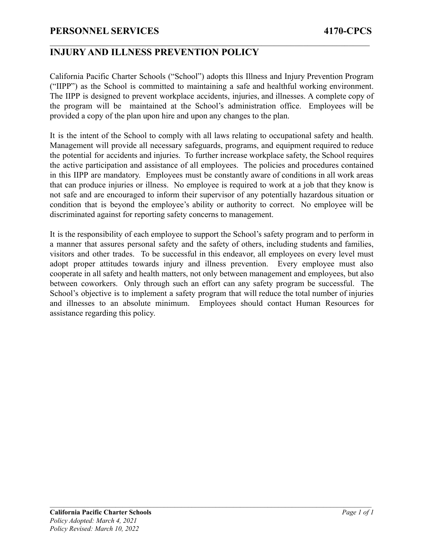California Pacific Charter Schools ("School") adopts this Illness and Injury Prevention Program ("IIPP") as the School is committed to maintaining a safe and healthful working environment. The IIPP is designed to prevent workplace accidents, injuries, and illnesses. A complete copy of the program will be maintained at the School's administration office. Employees will be provided a copy of the plan upon hire and upon any changes to the plan.

 $\mathcal{L}_\mathcal{L} = \{ \mathcal{L}_\mathcal{L} = \{ \mathcal{L}_\mathcal{L} = \{ \mathcal{L}_\mathcal{L} = \{ \mathcal{L}_\mathcal{L} = \{ \mathcal{L}_\mathcal{L} = \{ \mathcal{L}_\mathcal{L} = \{ \mathcal{L}_\mathcal{L} = \{ \mathcal{L}_\mathcal{L} = \{ \mathcal{L}_\mathcal{L} = \{ \mathcal{L}_\mathcal{L} = \{ \mathcal{L}_\mathcal{L} = \{ \mathcal{L}_\mathcal{L} = \{ \mathcal{L}_\mathcal{L} = \{ \mathcal{L}_\mathcal{$ 

It is the intent of the School to comply with all laws relating to occupational safety and health. Management will provide all necessary safeguards, programs, and equipment required to reduce the potential for accidents and injuries. To further increase workplace safety, the School requires the active participation and assistance of all employees. The policies and procedures contained in this IIPP are mandatory. Employees must be constantly aware of conditions in all work areas that can produce injuries or illness. No employee is required to work at a job that they know is not safe and are encouraged to inform their supervisor of any potentially hazardous situation or condition that is beyond the employee's ability or authority to correct. No employee will be discriminated against for reporting safety concerns to management.

It is the responsibility of each employee to support the School's safety program and to perform in a manner that assures personal safety and the safety of others, including students and families, visitors and other trades. To be successful in this endeavor, all employees on every level must adopt proper attitudes towards injury and illness prevention. Every employee must also cooperate in all safety and health matters, not only between management and employees, but also between coworkers. Only through such an effort can any safety program be successful. The School's objective is to implement a safety program that will reduce the total number of injuries and illnesses to an absolute minimum. Employees should contact Human Resources for assistance regarding this policy.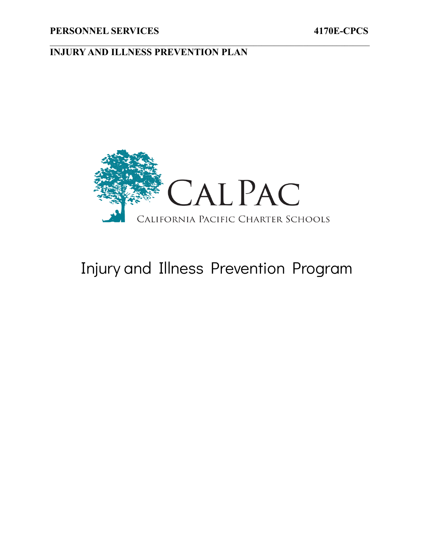

 $\mathcal{L}_\mathcal{L} = \{ \mathcal{L}_\mathcal{L} = \{ \mathcal{L}_\mathcal{L} = \{ \mathcal{L}_\mathcal{L} = \{ \mathcal{L}_\mathcal{L} = \{ \mathcal{L}_\mathcal{L} = \{ \mathcal{L}_\mathcal{L} = \{ \mathcal{L}_\mathcal{L} = \{ \mathcal{L}_\mathcal{L} = \{ \mathcal{L}_\mathcal{L} = \{ \mathcal{L}_\mathcal{L} = \{ \mathcal{L}_\mathcal{L} = \{ \mathcal{L}_\mathcal{L} = \{ \mathcal{L}_\mathcal{L} = \{ \mathcal{L}_\mathcal{$ 

# Injury and Illness Prevention Program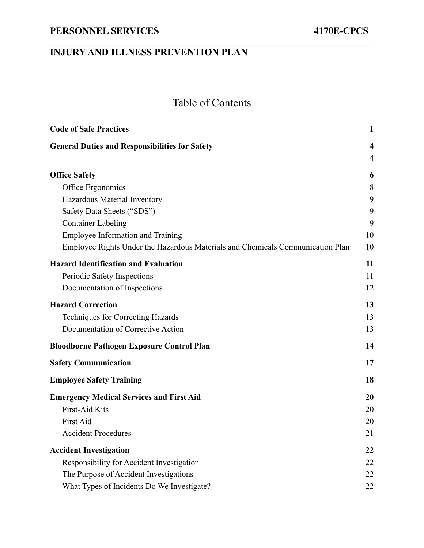# Table of Contents

 $\mathcal{L}_\mathcal{L} = \{ \mathcal{L}_\mathcal{L} = \{ \mathcal{L}_\mathcal{L} = \{ \mathcal{L}_\mathcal{L} = \{ \mathcal{L}_\mathcal{L} = \{ \mathcal{L}_\mathcal{L} = \{ \mathcal{L}_\mathcal{L} = \{ \mathcal{L}_\mathcal{L} = \{ \mathcal{L}_\mathcal{L} = \{ \mathcal{L}_\mathcal{L} = \{ \mathcal{L}_\mathcal{L} = \{ \mathcal{L}_\mathcal{L} = \{ \mathcal{L}_\mathcal{L} = \{ \mathcal{L}_\mathcal{L} = \{ \mathcal{L}_\mathcal{$ 

| <b>Code of Safe Practices</b>                                                  | 1                       |
|--------------------------------------------------------------------------------|-------------------------|
| <b>General Duties and Responsibilities for Safety</b>                          | $\overline{\mathbf{4}}$ |
|                                                                                | $\overline{4}$          |
| <b>Office Safety</b>                                                           | 6                       |
| Office Ergonomics                                                              | 8                       |
| Hazardous Material Inventory                                                   | 9                       |
| Safety Data Sheets ("SDS")                                                     | 9                       |
| <b>Container Labeling</b>                                                      | 9                       |
| Employee Information and Training                                              | 10                      |
| Employee Rights Under the Hazardous Materials and Chemicals Communication Plan | 10                      |
| <b>Hazard Identification and Evaluation</b>                                    | 11                      |
| Periodic Safety Inspections                                                    | 11                      |
| Documentation of Inspections                                                   | 12                      |
| <b>Hazard Correction</b>                                                       | 13                      |
| <b>Techniques for Correcting Hazards</b>                                       | 13                      |
| Documentation of Corrective Action                                             | 13                      |
| <b>Bloodborne Pathogen Exposure Control Plan</b>                               | 14                      |
| <b>Safety Communication</b>                                                    | 17                      |
| <b>Employee Safety Training</b>                                                | 18                      |
| <b>Emergency Medical Services and First Aid</b>                                | 20                      |
| First-Aid Kits                                                                 | 20                      |
| First Aid                                                                      | 20                      |
| <b>Accident Procedures</b>                                                     | 21                      |
| <b>Accident Investigation</b>                                                  | 22                      |
| Responsibility for Accident Investigation                                      | 22                      |
| The Purpose of Accident Investigations                                         | 22                      |
| What Types of Incidents Do We Investigate?                                     | 22                      |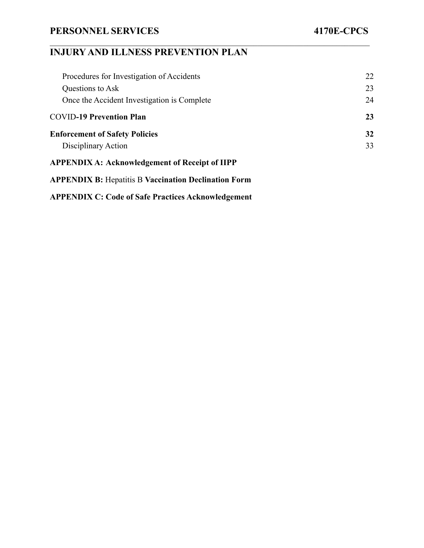# **INJURY AND ILLNESS PREVENTION PLAN**

| Procedures for Investigation of Accidents                   | 22 |
|-------------------------------------------------------------|----|
| Questions to Ask                                            | 23 |
| Once the Accident Investigation is Complete                 | 24 |
| <b>COVID-19 Prevention Plan</b>                             | 23 |
| <b>Enforcement of Safety Policies</b>                       | 32 |
| Disciplinary Action                                         | 33 |
| <b>APPENDIX A: Acknowledgement of Receipt of IIPP</b>       |    |
| <b>APPENDIX B:</b> Hepatitis B Vaccination Declination Form |    |

 $\mathcal{L}_\mathcal{L} = \{ \mathcal{L}_\mathcal{L} = \{ \mathcal{L}_\mathcal{L} = \{ \mathcal{L}_\mathcal{L} = \{ \mathcal{L}_\mathcal{L} = \{ \mathcal{L}_\mathcal{L} = \{ \mathcal{L}_\mathcal{L} = \{ \mathcal{L}_\mathcal{L} = \{ \mathcal{L}_\mathcal{L} = \{ \mathcal{L}_\mathcal{L} = \{ \mathcal{L}_\mathcal{L} = \{ \mathcal{L}_\mathcal{L} = \{ \mathcal{L}_\mathcal{L} = \{ \mathcal{L}_\mathcal{L} = \{ \mathcal{L}_\mathcal{$ 

**APPENDIX C: [Code of Safe Practices Acknowledgement](#page-38-0)**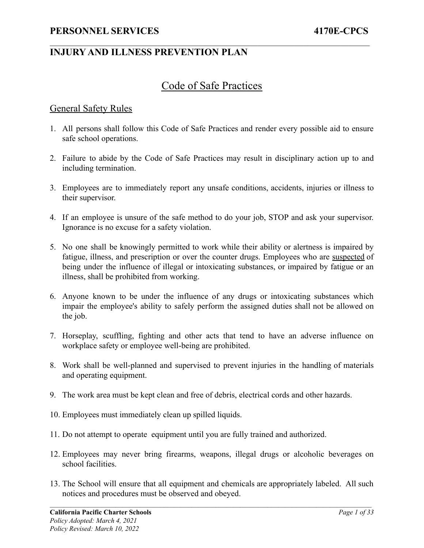### Code of Safe Practices

 $\mathcal{L}_\mathcal{L} = \{ \mathcal{L}_\mathcal{L} = \{ \mathcal{L}_\mathcal{L} = \{ \mathcal{L}_\mathcal{L} = \{ \mathcal{L}_\mathcal{L} = \{ \mathcal{L}_\mathcal{L} = \{ \mathcal{L}_\mathcal{L} = \{ \mathcal{L}_\mathcal{L} = \{ \mathcal{L}_\mathcal{L} = \{ \mathcal{L}_\mathcal{L} = \{ \mathcal{L}_\mathcal{L} = \{ \mathcal{L}_\mathcal{L} = \{ \mathcal{L}_\mathcal{L} = \{ \mathcal{L}_\mathcal{L} = \{ \mathcal{L}_\mathcal{$ 

#### <span id="page-4-0"></span>General Safety Rules

- 1. All persons shall follow this Code of Safe Practices and render every possible aid to ensure safe school operations.
- 2. Failure to abide by the Code of Safe Practices may result in disciplinary action up to and including termination.
- 3. Employees are to immediately report any unsafe conditions, accidents, injuries or illness to their supervisor.
- 4. If an employee is unsure of the safe method to do your job, STOP and ask your supervisor. Ignorance is no excuse for a safety violation.
- 5. No one shall be knowingly permitted to work while their ability or alertness is impaired by fatigue, illness, and prescription or over the counter drugs. Employees who are suspected of being under the influence of illegal or intoxicating substances, or impaired by fatigue or an illness, shall be prohibited from working.
- 6. Anyone known to be under the influence of any drugs or intoxicating substances which impair the employee's ability to safely perform the assigned duties shall not be allowed on the job.
- 7. Horseplay, scuffling, fighting and other acts that tend to have an adverse influence on workplace safety or employee well-being are prohibited.
- 8. Work shall be well-planned and supervised to prevent injuries in the handling of materials and operating equipment.
- 9. The work area must be kept clean and free of debris, electrical cords and other hazards.
- 10. Employees must immediately clean up spilled liquids.
- 11. Do not attempt to operate equipment until you are fully trained and authorized.
- 12. Employees may never bring firearms, weapons, illegal drugs or alcoholic beverages on school facilities.
- 13. The School will ensure that all equipment and chemicals are appropriately labeled. All such notices and procedures must be observed and obeyed.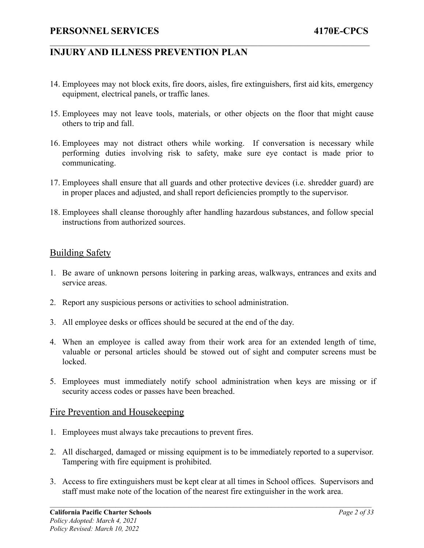14. Employees may not block exits, fire doors, aisles, fire extinguishers, first aid kits, emergency equipment, electrical panels, or traffic lanes.

 $\mathcal{L}_\mathcal{L} = \{ \mathcal{L}_\mathcal{L} = \{ \mathcal{L}_\mathcal{L} = \{ \mathcal{L}_\mathcal{L} = \{ \mathcal{L}_\mathcal{L} = \{ \mathcal{L}_\mathcal{L} = \{ \mathcal{L}_\mathcal{L} = \{ \mathcal{L}_\mathcal{L} = \{ \mathcal{L}_\mathcal{L} = \{ \mathcal{L}_\mathcal{L} = \{ \mathcal{L}_\mathcal{L} = \{ \mathcal{L}_\mathcal{L} = \{ \mathcal{L}_\mathcal{L} = \{ \mathcal{L}_\mathcal{L} = \{ \mathcal{L}_\mathcal{$ 

- 15. Employees may not leave tools, materials, or other objects on the floor that might cause others to trip and fall.
- 16. Employees may not distract others while working. If conversation is necessary while performing duties involving risk to safety, make sure eye contact is made prior to communicating.
- 17. Employees shall ensure that all guards and other protective devices (i.e. shredder guard) are in proper places and adjusted, and shall report deficiencies promptly to the supervisor.
- 18. Employees shall cleanse thoroughly after handling hazardous substances, and follow special instructions from authorized sources.

#### Building Safety

- 1. Be aware of unknown persons loitering in parking areas, walkways, entrances and exits and service areas.
- 2. Report any suspicious persons or activities to school administration.
- 3. All employee desks or offices should be secured at the end of the day.
- 4. When an employee is called away from their work area for an extended length of time, valuable or personal articles should be stowed out of sight and computer screens must be locked.
- 5. Employees must immediately notify school administration when keys are missing or if security access codes or passes have been breached.

#### Fire Prevention and Housekeeping

- 1. Employees must always take precautions to prevent fires.
- 2. All discharged, damaged or missing equipment is to be immediately reported to a supervisor. Tampering with fire equipment is prohibited.
- 3. Access to fire extinguishers must be kept clear at all times in School offices. Supervisors and staff must make note of the location of the nearest fire extinguisher in the work area.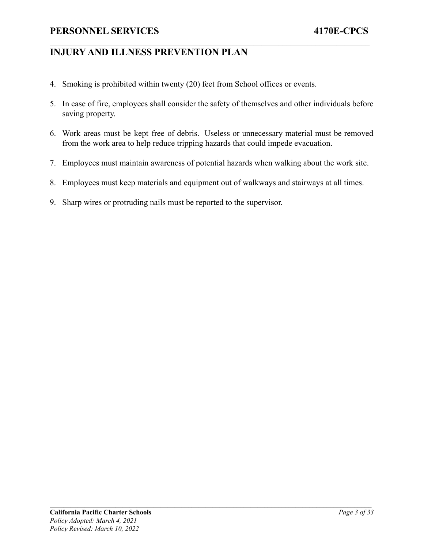### **INJURY AND ILLNESS PREVENTION PLAN**

- 4. Smoking is prohibited within twenty (20) feet from School offices or events.
- 5. In case of fire, employees shall consider the safety of themselves and other individuals before saving property.

 $\mathcal{L}_\mathcal{L} = \{ \mathcal{L}_\mathcal{L} = \{ \mathcal{L}_\mathcal{L} = \{ \mathcal{L}_\mathcal{L} = \{ \mathcal{L}_\mathcal{L} = \{ \mathcal{L}_\mathcal{L} = \{ \mathcal{L}_\mathcal{L} = \{ \mathcal{L}_\mathcal{L} = \{ \mathcal{L}_\mathcal{L} = \{ \mathcal{L}_\mathcal{L} = \{ \mathcal{L}_\mathcal{L} = \{ \mathcal{L}_\mathcal{L} = \{ \mathcal{L}_\mathcal{L} = \{ \mathcal{L}_\mathcal{L} = \{ \mathcal{L}_\mathcal{$ 

- 6. Work areas must be kept free of debris. Useless or unnecessary material must be removed from the work area to help reduce tripping hazards that could impede evacuation.
- 7. Employees must maintain awareness of potential hazards when walking about the work site.
- 8. Employees must keep materials and equipment out of walkways and stairways at all times.
- 9. Sharp wires or protruding nails must be reported to the supervisor.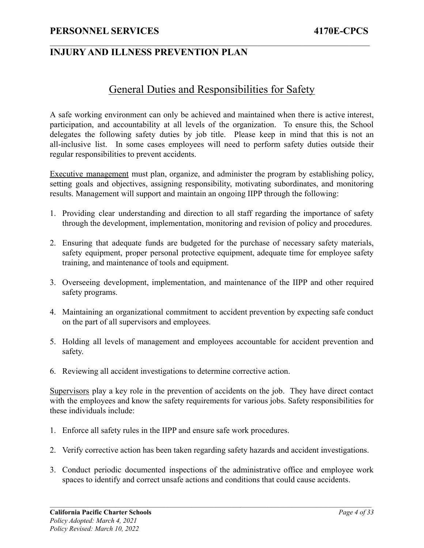### <span id="page-7-0"></span>**INJURY AND ILLNESS PREVENTION PLAN**

### General Duties and Responsibilities for Safety

 $\mathcal{L}_\mathcal{L} = \{ \mathcal{L}_\mathcal{L} = \{ \mathcal{L}_\mathcal{L} = \{ \mathcal{L}_\mathcal{L} = \{ \mathcal{L}_\mathcal{L} = \{ \mathcal{L}_\mathcal{L} = \{ \mathcal{L}_\mathcal{L} = \{ \mathcal{L}_\mathcal{L} = \{ \mathcal{L}_\mathcal{L} = \{ \mathcal{L}_\mathcal{L} = \{ \mathcal{L}_\mathcal{L} = \{ \mathcal{L}_\mathcal{L} = \{ \mathcal{L}_\mathcal{L} = \{ \mathcal{L}_\mathcal{L} = \{ \mathcal{L}_\mathcal{$ 

A safe working environment can only be achieved and maintained when there is active interest, participation, and accountability at all levels of the organization. To ensure this, the School delegates the following safety duties by job title. Please keep in mind that this is not an all-inclusive list. In some cases employees will need to perform safety duties outside their regular responsibilities to prevent accidents.

Executive management must plan, organize, and administer the program by establishing policy, setting goals and objectives, assigning responsibility, motivating subordinates, and monitoring results. Management will support and maintain an ongoing IIPP through the following:

- 1. Providing clear understanding and direction to all staff regarding the importance of safety through the development, implementation, monitoring and revision of policy and procedures.
- 2. Ensuring that adequate funds are budgeted for the purchase of necessary safety materials, safety equipment, proper personal protective equipment, adequate time for employee safety training, and maintenance of tools and equipment.
- 3. Overseeing development, implementation, and maintenance of the IIPP and other required safety programs.
- 4. Maintaining an organizational commitment to accident prevention by expecting safe conduct on the part of all supervisors and employees.
- 5. Holding all levels of management and employees accountable for accident prevention and safety.
- 6. Reviewing all accident investigations to determine corrective action.

<span id="page-7-1"></span>Supervisors play a key role in the prevention of accidents on the job. They have direct contact with the employees and know the safety requirements for various jobs. Safety responsibilities for these individuals include:

- 1. Enforce all safety rules in the IIPP and ensure safe work procedures.
- 2. Verify corrective action has been taken regarding safety hazards and accident investigations.
- 3. Conduct periodic documented inspections of the administrative office and employee work spaces to identify and correct unsafe actions and conditions that could cause accidents.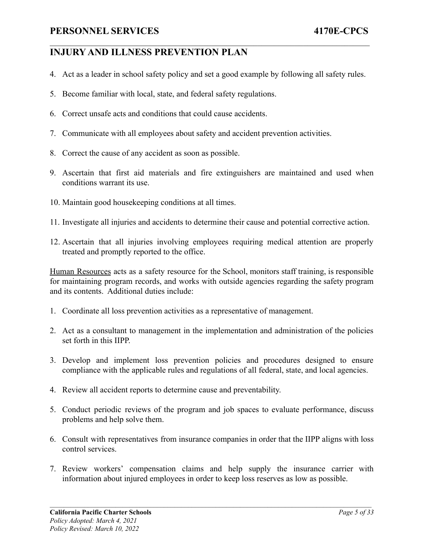4. Act as a leader in school safety policy and set a good example by following all safety rules.

 $\mathcal{L}_\mathcal{L} = \{ \mathcal{L}_\mathcal{L} = \{ \mathcal{L}_\mathcal{L} = \{ \mathcal{L}_\mathcal{L} = \{ \mathcal{L}_\mathcal{L} = \{ \mathcal{L}_\mathcal{L} = \{ \mathcal{L}_\mathcal{L} = \{ \mathcal{L}_\mathcal{L} = \{ \mathcal{L}_\mathcal{L} = \{ \mathcal{L}_\mathcal{L} = \{ \mathcal{L}_\mathcal{L} = \{ \mathcal{L}_\mathcal{L} = \{ \mathcal{L}_\mathcal{L} = \{ \mathcal{L}_\mathcal{L} = \{ \mathcal{L}_\mathcal{$ 

- 5. Become familiar with local, state, and federal safety regulations.
- 6. Correct unsafe acts and conditions that could cause accidents.
- 7. Communicate with all employees about safety and accident prevention activities.
- 8. Correct the cause of any accident as soon as possible.
- 9. Ascertain that first aid materials and fire extinguishers are maintained and used when conditions warrant its use.
- 10. Maintain good housekeeping conditions at all times.
- 11. Investigate all injuries and accidents to determine their cause and potential corrective action.
- 12. Ascertain that all injuries involving employees requiring medical attention are properly treated and promptly reported to the office.

Human Resources acts as a safety resource for the School, monitors staff training, is responsible for maintaining program records, and works with outside agencies regarding the safety program and its contents. Additional duties include:

- 1. Coordinate all loss prevention activities as a representative of management.
- 2. Act as a consultant to management in the implementation and administration of the policies set forth in this IIPP
- 3. Develop and implement loss prevention policies and procedures designed to ensure compliance with the applicable rules and regulations of all federal, state, and local agencies.
- 4. Review all accident reports to determine cause and preventability.
- 5. Conduct periodic reviews of the program and job spaces to evaluate performance, discuss problems and help solve them.
- 6. Consult with representatives from insurance companies in order that the IIPP aligns with loss control services.
- 7. Review workers' compensation claims and help supply the insurance carrier with information about injured employees in order to keep loss reserves as low as possible.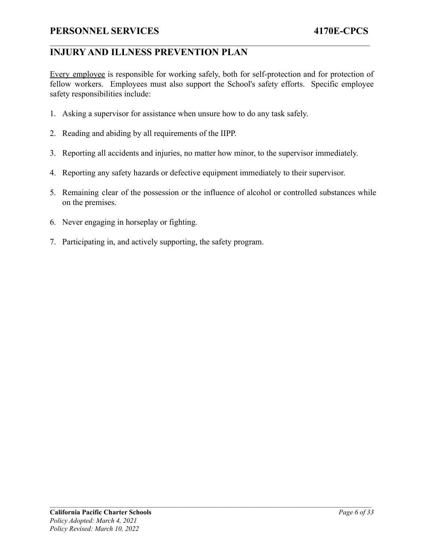### **INJURY AND ILLNESS PREVENTION PLAN**

Every employee is responsible for working safely, both for self-protection and for protection of fellow workers. Employees must also support the School's safety efforts. Specific employee safety responsibilities include:

 $\mathcal{L}_\mathcal{L} = \{ \mathcal{L}_\mathcal{L} = \{ \mathcal{L}_\mathcal{L} = \{ \mathcal{L}_\mathcal{L} = \{ \mathcal{L}_\mathcal{L} = \{ \mathcal{L}_\mathcal{L} = \{ \mathcal{L}_\mathcal{L} = \{ \mathcal{L}_\mathcal{L} = \{ \mathcal{L}_\mathcal{L} = \{ \mathcal{L}_\mathcal{L} = \{ \mathcal{L}_\mathcal{L} = \{ \mathcal{L}_\mathcal{L} = \{ \mathcal{L}_\mathcal{L} = \{ \mathcal{L}_\mathcal{L} = \{ \mathcal{L}_\mathcal{$ 

- 1. Asking a supervisor for assistance when unsure how to do any task safely.
- 2. Reading and abiding by all requirements of the IIPP.
- 3. Reporting all accidents and injuries, no matter how minor, to the supervisor immediately.
- 4. Reporting any safety hazards or defective equipment immediately to their supervisor.
- 5. Remaining clear of the possession or the influence of alcohol or controlled substances while on the premises.
- 6. Never engaging in horseplay or fighting.
- <span id="page-9-0"></span>7. Participating in, and actively supporting, the safety program.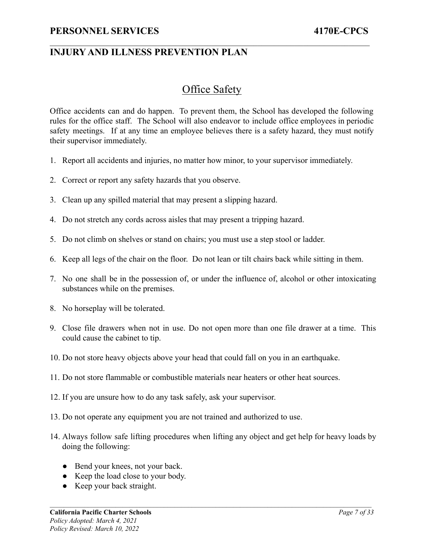# Office Safety

 $\mathcal{L}_\mathcal{L} = \{ \mathcal{L}_\mathcal{L} = \{ \mathcal{L}_\mathcal{L} = \{ \mathcal{L}_\mathcal{L} = \{ \mathcal{L}_\mathcal{L} = \{ \mathcal{L}_\mathcal{L} = \{ \mathcal{L}_\mathcal{L} = \{ \mathcal{L}_\mathcal{L} = \{ \mathcal{L}_\mathcal{L} = \{ \mathcal{L}_\mathcal{L} = \{ \mathcal{L}_\mathcal{L} = \{ \mathcal{L}_\mathcal{L} = \{ \mathcal{L}_\mathcal{L} = \{ \mathcal{L}_\mathcal{L} = \{ \mathcal{L}_\mathcal{$ 

Office accidents can and do happen. To prevent them, the School has developed the following rules for the office staff. The School will also endeavor to include office employees in periodic safety meetings. If at any time an employee believes there is a safety hazard, they must notify their supervisor immediately.

- 1. Report all accidents and injuries, no matter how minor, to your supervisor immediately.
- 2. Correct or report any safety hazards that you observe.
- 3. Clean up any spilled material that may present a slipping hazard.
- 4. Do not stretch any cords across aisles that may present a tripping hazard.
- 5. Do not climb on shelves or stand on chairs; you must use a step stool or ladder.
- 6. Keep all legs of the chair on the floor. Do not lean or tilt chairs back while sitting in them.
- 7. No one shall be in the possession of, or under the influence of, alcohol or other intoxicating substances while on the premises.
- 8. No horseplay will be tolerated.
- 9. Close file drawers when not in use. Do not open more than one file drawer at a time. This could cause the cabinet to tip.
- 10. Do not store heavy objects above your head that could fall on you in an earthquake.
- 11. Do not store flammable or combustible materials near heaters or other heat sources.
- 12. If you are unsure how to do any task safely, ask your supervisor.
- 13. Do not operate any equipment you are not trained and authorized to use.
- 14. Always follow safe lifting procedures when lifting any object and get help for heavy loads by doing the following:
	- Bend your knees, not your back.
	- Keep the load close to your body.
	- Keep your back straight.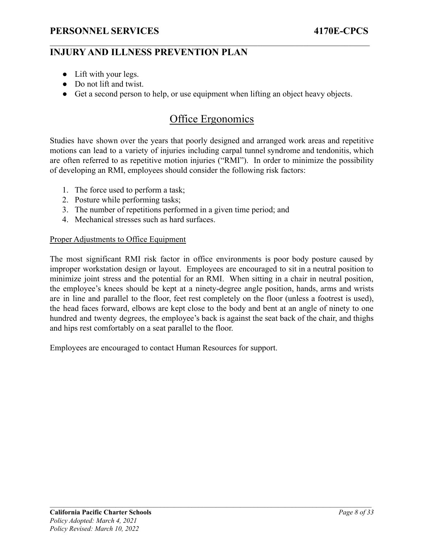### **INJURY AND ILLNESS PREVENTION PLAN**

- Lift with your legs.
- Do not lift and twist.
- <span id="page-11-0"></span>● Get a second person to help, or use equipment when lifting an object heavy objects.

 $\mathcal{L}_\mathcal{L} = \{ \mathcal{L}_\mathcal{L} = \{ \mathcal{L}_\mathcal{L} = \{ \mathcal{L}_\mathcal{L} = \{ \mathcal{L}_\mathcal{L} = \{ \mathcal{L}_\mathcal{L} = \{ \mathcal{L}_\mathcal{L} = \{ \mathcal{L}_\mathcal{L} = \{ \mathcal{L}_\mathcal{L} = \{ \mathcal{L}_\mathcal{L} = \{ \mathcal{L}_\mathcal{L} = \{ \mathcal{L}_\mathcal{L} = \{ \mathcal{L}_\mathcal{L} = \{ \mathcal{L}_\mathcal{L} = \{ \mathcal{L}_\mathcal{$ 

# Office Ergonomics

Studies have shown over the years that poorly designed and arranged work areas and repetitive motions can lead to a variety of injuries including carpal tunnel syndrome and tendonitis, which are often referred to as repetitive motion injuries ("RMI"). In order to minimize the possibility of developing an RMI, employees should consider the following risk factors:

- 1. The force used to perform a task;
- 2. Posture while performing tasks;
- 3. The number of repetitions performed in a given time period; and
- 4. Mechanical stresses such as hard surfaces.

#### Proper Adjustments to Office Equipment

The most significant RMI risk factor in office environments is poor body posture caused by improper workstation design or layout. Employees are encouraged to sit in a neutral position to minimize joint stress and the potential for an RMI. When sitting in a chair in neutral position, the employee's knees should be kept at a ninety-degree angle position, hands, arms and wrists are in line and parallel to the floor, feet rest completely on the floor (unless a footrest is used), the head faces forward, elbows are kept close to the body and bent at an angle of ninety to one hundred and twenty degrees, the employee's back is against the seat back of the chair, and thighs and hips rest comfortably on a seat parallel to the floor.

Employees are encouraged to contact Human Resources for support.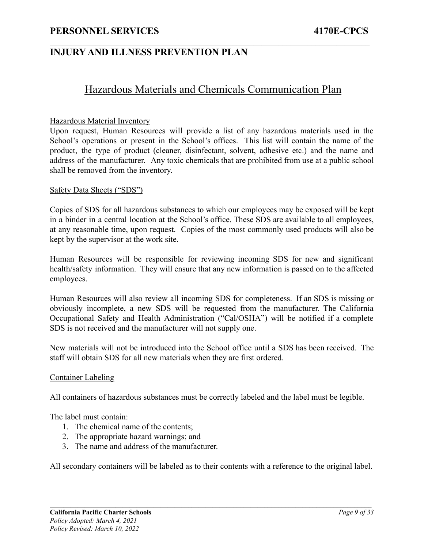### **INJURY AND ILLNESS PREVENTION PLAN**

### Hazardous Materials and Chemicals Communication Plan

 $\mathcal{L}_\mathcal{L} = \{ \mathcal{L}_\mathcal{L} = \{ \mathcal{L}_\mathcal{L} = \{ \mathcal{L}_\mathcal{L} = \{ \mathcal{L}_\mathcal{L} = \{ \mathcal{L}_\mathcal{L} = \{ \mathcal{L}_\mathcal{L} = \{ \mathcal{L}_\mathcal{L} = \{ \mathcal{L}_\mathcal{L} = \{ \mathcal{L}_\mathcal{L} = \{ \mathcal{L}_\mathcal{L} = \{ \mathcal{L}_\mathcal{L} = \{ \mathcal{L}_\mathcal{L} = \{ \mathcal{L}_\mathcal{L} = \{ \mathcal{L}_\mathcal{$ 

#### <span id="page-12-0"></span>Hazardous Material Inventory

Upon request, Human Resources will provide a list of any hazardous materials used in the School's operations or present in the School's offices. This list will contain the name of the product, the type of product (cleaner, disinfectant, solvent, adhesive etc.) and the name and address of the manufacturer. Any toxic chemicals that are prohibited from use at a public school shall be removed from the inventory.

#### <span id="page-12-1"></span>Safety Data Sheets ("SDS")

Copies of SDS for all hazardous substances to which our employees may be exposed will be kept in a binder in a central location at the School's office. These SDS are available to all employees, at any reasonable time, upon request. Copies of the most commonly used products will also be kept by the supervisor at the work site.

Human Resources will be responsible for reviewing incoming SDS for new and significant health/safety information. They will ensure that any new information is passed on to the affected employees.

Human Resources will also review all incoming SDS for completeness. If an SDS is missing or obviously incomplete, a new SDS will be requested from the manufacturer. The California Occupational Safety and Health Administration ("Cal/OSHA") will be notified if a complete SDS is not received and the manufacturer will not supply one.

New materials will not be introduced into the School office until a SDS has been received. The staff will obtain SDS for all new materials when they are first ordered.

#### <span id="page-12-2"></span>Container Labeling

All containers of hazardous substances must be correctly labeled and the label must be legible.

The label must contain:

- 1. The chemical name of the contents;
- 2. The appropriate hazard warnings; and
- 3. The name and address of the manufacturer.

All secondary containers will be labeled as to their contents with a reference to the original label.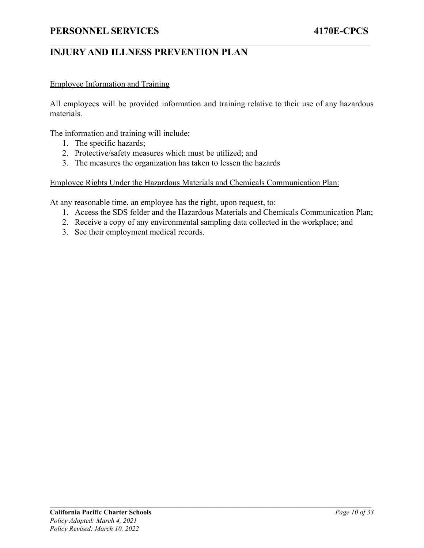#### <span id="page-13-0"></span>Employee Information and Training

All employees will be provided information and training relative to their use of any hazardous materials.

 $\mathcal{L}_\mathcal{L} = \{ \mathcal{L}_\mathcal{L} = \{ \mathcal{L}_\mathcal{L} = \{ \mathcal{L}_\mathcal{L} = \{ \mathcal{L}_\mathcal{L} = \{ \mathcal{L}_\mathcal{L} = \{ \mathcal{L}_\mathcal{L} = \{ \mathcal{L}_\mathcal{L} = \{ \mathcal{L}_\mathcal{L} = \{ \mathcal{L}_\mathcal{L} = \{ \mathcal{L}_\mathcal{L} = \{ \mathcal{L}_\mathcal{L} = \{ \mathcal{L}_\mathcal{L} = \{ \mathcal{L}_\mathcal{L} = \{ \mathcal{L}_\mathcal{$ 

The information and training will include:

- 1. The specific hazards;
- 2. Protective/safety measures which must be utilized; and
- 3. The measures the organization has taken to lessen the hazards

<span id="page-13-1"></span>Employee Rights Under the Hazardous Materials and Chemicals Communication Plan:

At any reasonable time, an employee has the right, upon request, to:

- 1. Access the SDS folder and the Hazardous Materials and Chemicals Communication Plan;
- 2. Receive a copy of any environmental sampling data collected in the workplace; and
- <span id="page-13-2"></span>3. See their employment medical records.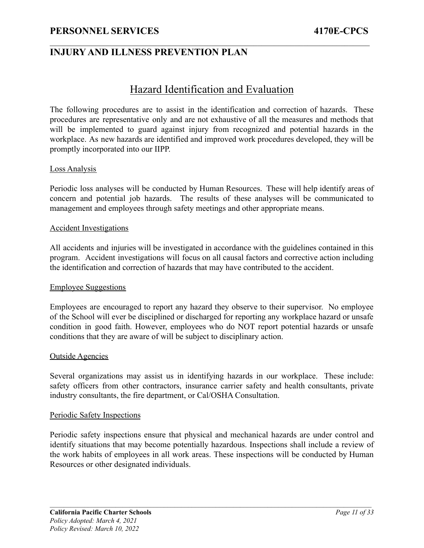### **INJURY AND ILLNESS PREVENTION PLAN**

### Hazard Identification and Evaluation

 $\mathcal{L}_\mathcal{L} = \{ \mathcal{L}_\mathcal{L} = \{ \mathcal{L}_\mathcal{L} = \{ \mathcal{L}_\mathcal{L} = \{ \mathcal{L}_\mathcal{L} = \{ \mathcal{L}_\mathcal{L} = \{ \mathcal{L}_\mathcal{L} = \{ \mathcal{L}_\mathcal{L} = \{ \mathcal{L}_\mathcal{L} = \{ \mathcal{L}_\mathcal{L} = \{ \mathcal{L}_\mathcal{L} = \{ \mathcal{L}_\mathcal{L} = \{ \mathcal{L}_\mathcal{L} = \{ \mathcal{L}_\mathcal{L} = \{ \mathcal{L}_\mathcal{$ 

The following procedures are to assist in the identification and correction of hazards. These procedures are representative only and are not exhaustive of all the measures and methods that will be implemented to guard against injury from recognized and potential hazards in the workplace. As new hazards are identified and improved work procedures developed, they will be promptly incorporated into our IIPP.

#### Loss Analysis

Periodic loss analyses will be conducted by Human Resources. These will help identify areas of concern and potential job hazards. The results of these analyses will be communicated to management and employees through safety meetings and other appropriate means.

#### Accident Investigations

All accidents and injuries will be investigated in accordance with the guidelines contained in this program. Accident investigations will focus on all causal factors and corrective action including the identification and correction of hazards that may have contributed to the accident.

#### Employee Suggestions

Employees are encouraged to report any hazard they observe to their supervisor. No employee of the School will ever be disciplined or discharged for reporting any workplace hazard or unsafe condition in good faith. However, employees who do NOT report potential hazards or unsafe conditions that they are aware of will be subject to disciplinary action.

#### Outside Agencies

Several organizations may assist us in identifying hazards in our workplace. These include: safety officers from other contractors, insurance carrier safety and health consultants, private industry consultants, the fire department, or Cal/OSHA Consultation.

#### <span id="page-14-0"></span>Periodic Safety Inspections

Periodic safety inspections ensure that physical and mechanical hazards are under control and identify situations that may become potentially hazardous. Inspections shall include a review of the work habits of employees in all work areas. These inspections will be conducted by Human Resources or other designated individuals.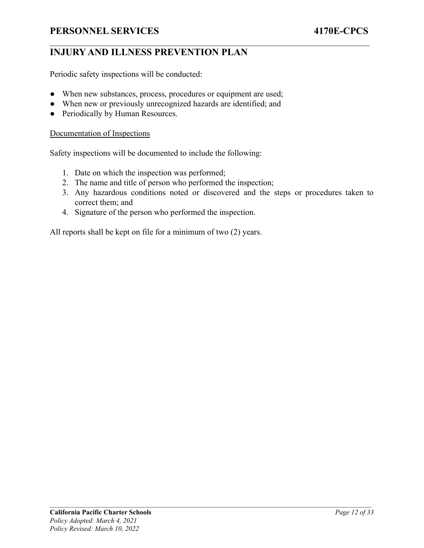### **INJURY AND ILLNESS PREVENTION PLAN**

Periodic safety inspections will be conducted:

- When new substances, process, procedures or equipment are used;
- When new or previously unrecognized hazards are identified; and
- Periodically by Human Resources.

#### <span id="page-15-0"></span>Documentation of Inspections

Safety inspections will be documented to include the following:

- 1. Date on which the inspection was performed;
- 2. The name and title of person who performed the inspection;
- 3. Any hazardous conditions noted or discovered and the steps or procedures taken to correct them; and

 $\mathcal{L}_\mathcal{L} = \{ \mathcal{L}_\mathcal{L} = \{ \mathcal{L}_\mathcal{L} = \{ \mathcal{L}_\mathcal{L} = \{ \mathcal{L}_\mathcal{L} = \{ \mathcal{L}_\mathcal{L} = \{ \mathcal{L}_\mathcal{L} = \{ \mathcal{L}_\mathcal{L} = \{ \mathcal{L}_\mathcal{L} = \{ \mathcal{L}_\mathcal{L} = \{ \mathcal{L}_\mathcal{L} = \{ \mathcal{L}_\mathcal{L} = \{ \mathcal{L}_\mathcal{L} = \{ \mathcal{L}_\mathcal{L} = \{ \mathcal{L}_\mathcal{$ 

4. Signature of the person who performed the inspection.

All reports shall be kept on file for a minimum of two (2) years.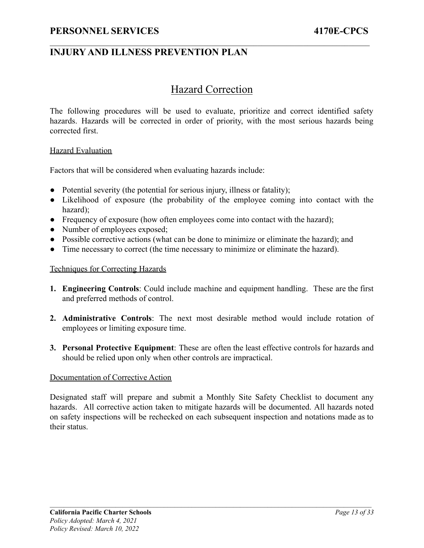### Hazard Correction

<span id="page-16-0"></span> $\mathcal{L}_\mathcal{L} = \{ \mathcal{L}_\mathcal{L} = \{ \mathcal{L}_\mathcal{L} = \{ \mathcal{L}_\mathcal{L} = \{ \mathcal{L}_\mathcal{L} = \{ \mathcal{L}_\mathcal{L} = \{ \mathcal{L}_\mathcal{L} = \{ \mathcal{L}_\mathcal{L} = \{ \mathcal{L}_\mathcal{L} = \{ \mathcal{L}_\mathcal{L} = \{ \mathcal{L}_\mathcal{L} = \{ \mathcal{L}_\mathcal{L} = \{ \mathcal{L}_\mathcal{L} = \{ \mathcal{L}_\mathcal{L} = \{ \mathcal{L}_\mathcal{$ 

The following procedures will be used to evaluate, prioritize and correct identified safety hazards. Hazards will be corrected in order of priority, with the most serious hazards being corrected first.

#### Hazard Evaluation

Factors that will be considered when evaluating hazards include:

- Potential severity (the potential for serious injury, illness or fatality);
- Likelihood of exposure (the probability of the employee coming into contact with the hazard);
- Frequency of exposure (how often employees come into contact with the hazard);
- Number of employees exposed;
- Possible corrective actions (what can be done to minimize or eliminate the hazard); and
- Time necessary to correct (the time necessary to minimize or eliminate the hazard).

#### <span id="page-16-1"></span>Techniques for Correcting Hazards

- **1. Engineering Controls**: Could include machine and equipment handling. These are the first and preferred methods of control.
- **2. Administrative Controls**: The next most desirable method would include rotation of employees or limiting exposure time.
- **3. Personal Protective Equipment**: These are often the least effective controls for hazards and should be relied upon only when other controls are impractical.

#### <span id="page-16-2"></span>Documentation of Corrective Action

Designated staff will prepare and submit a Monthly Site Safety Checklist to document any hazards. All corrective action taken to mitigate hazards will be documented. All hazards noted on safety inspections will be rechecked on each subsequent inspection and notations made as to their status.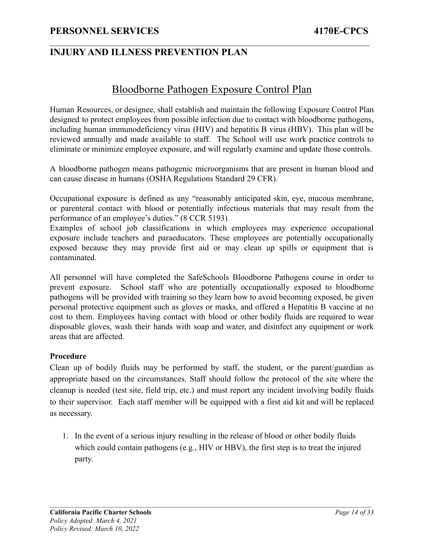### Bloodborne Pathogen Exposure Control Plan

<span id="page-17-0"></span> $\mathcal{L}_\mathcal{L} = \{ \mathcal{L}_\mathcal{L} = \{ \mathcal{L}_\mathcal{L} = \{ \mathcal{L}_\mathcal{L} = \{ \mathcal{L}_\mathcal{L} = \{ \mathcal{L}_\mathcal{L} = \{ \mathcal{L}_\mathcal{L} = \{ \mathcal{L}_\mathcal{L} = \{ \mathcal{L}_\mathcal{L} = \{ \mathcal{L}_\mathcal{L} = \{ \mathcal{L}_\mathcal{L} = \{ \mathcal{L}_\mathcal{L} = \{ \mathcal{L}_\mathcal{L} = \{ \mathcal{L}_\mathcal{L} = \{ \mathcal{L}_\mathcal{$ 

Human Resources, or designee, shall establish and maintain the following Exposure Control Plan designed to protect employees from possible infection due to contact with bloodborne pathogens, including human immunodeficiency virus (HIV) and hepatitis B virus (HBV). This plan will be reviewed annually and made available to staff. The School will use work practice controls to eliminate or minimize employee exposure, and will regularly examine and update those controls.

A bloodborne pathogen means pathogenic microorganisms that are present in human blood and can cause disease in humans (OSHA Regulations Standard 29 CFR).

Occupational exposure is defined as any "reasonably anticipated skin, eye, mucous membrane, or parenteral contact with blood or potentially infectious materials that may result from the performance of an employee's duties." (8 CCR 5193)

Examples of school job classifications in which employees may experience occupational exposure include teachers and paraeducators. These employees are potentially occupationally exposed because they may provide first aid or may clean up spills or equipment that is contaminated.

All personnel will have completed the SafeSchools Bloodborne Pathogens course in order to prevent exposure. School staff who are potentially occupationally exposed to bloodborne pathogens will be provided with training so they learn how to avoid becoming exposed, be given personal protective equipment such as gloves or masks, and offered a Hepatitis B vaccine at no cost to them. Employees having contact with blood or other bodily fluids are required to wear disposable gloves, wash their hands with soap and water, and disinfect any equipment or work areas that are affected.

#### **Procedure**

Clean up of bodily fluids may be performed by staff, the student, or the parent/guardian as appropriate based on the circumstances. Staff should follow the protocol of the site where the cleanup is needed (test site, field trip, etc.) and must report any incident involving bodily fluids to their supervisor. Each staff member will be equipped with a first aid kit and will be replaced as necessary.

1. In the event of a serious injury resulting in the release of blood or other bodily fluids which could contain pathogens (e.g., HIV or HBV), the first step is to treat the injured party.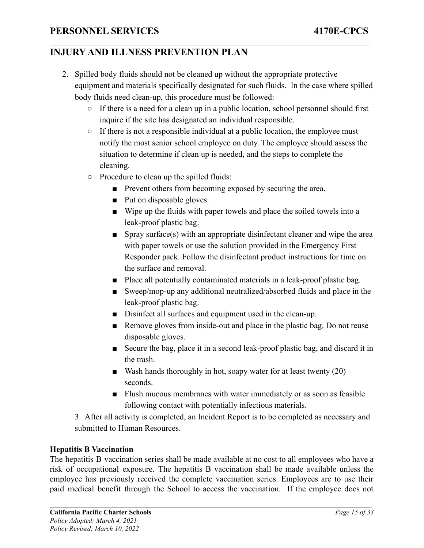2. Spilled body fluids should not be cleaned up without the appropriate protective equipment and materials specifically designated for such fluids. In the case where spilled body fluids need clean-up, this procedure must be followed:

 $\mathcal{L}_\mathcal{L} = \{ \mathcal{L}_\mathcal{L} = \{ \mathcal{L}_\mathcal{L} = \{ \mathcal{L}_\mathcal{L} = \{ \mathcal{L}_\mathcal{L} = \{ \mathcal{L}_\mathcal{L} = \{ \mathcal{L}_\mathcal{L} = \{ \mathcal{L}_\mathcal{L} = \{ \mathcal{L}_\mathcal{L} = \{ \mathcal{L}_\mathcal{L} = \{ \mathcal{L}_\mathcal{L} = \{ \mathcal{L}_\mathcal{L} = \{ \mathcal{L}_\mathcal{L} = \{ \mathcal{L}_\mathcal{L} = \{ \mathcal{L}_\mathcal{$ 

- If there is a need for a clean up in a public location, school personnel should first inquire if the site has designated an individual responsible.
- If there is not a responsible individual at a public location, the employee must notify the most senior school employee on duty. The employee should assess the situation to determine if clean up is needed, and the steps to complete the cleaning.
- Procedure to clean up the spilled fluids:
	- Prevent others from becoming exposed by securing the area.
	- Put on disposable gloves.
	- Wipe up the fluids with paper towels and place the soiled towels into a leak-proof plastic bag.
	- Spray surface(s) with an appropriate disinfectant cleaner and wipe the area with paper towels or use the solution provided in the Emergency First Responder pack. Follow the disinfectant product instructions for time on the surface and removal.
	- Place all potentially contaminated materials in a leak-proof plastic bag.
	- Sweep/mop-up any additional neutralized/absorbed fluids and place in the leak-proof plastic bag.
	- Disinfect all surfaces and equipment used in the clean-up.
	- Remove gloves from inside-out and place in the plastic bag. Do not reuse disposable gloves.
	- Secure the bag, place it in a second leak-proof plastic bag, and discard it in the trash.
	- Wash hands thoroughly in hot, soapy water for at least twenty  $(20)$ seconds.
	- Flush mucous membranes with water immediately or as soon as feasible following contact with potentially infectious materials.

3. After all activity is completed, an Incident Report is to be completed as necessary and submitted to Human Resources.

#### **Hepatitis B Vaccination**

The hepatitis B vaccination series shall be made available at no cost to all employees who have a risk of occupational exposure. The hepatitis B vaccination shall be made available unless the employee has previously received the complete vaccination series. Employees are to use their paid medical benefit through the School to access the vaccination. If the employee does not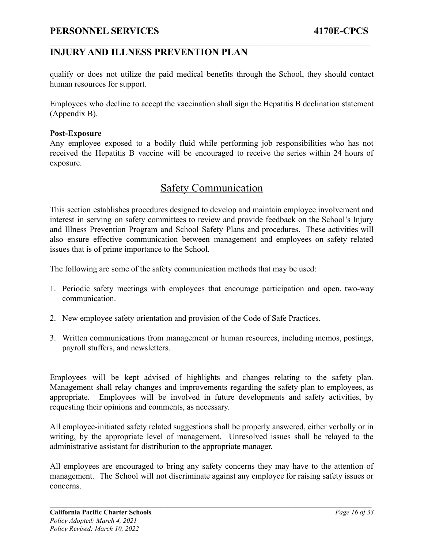### **INJURY AND ILLNESS PREVENTION PLAN**

qualify or does not utilize the paid medical benefits through the School, they should contact human resources for support.

 $\mathcal{L}_\mathcal{L} = \{ \mathcal{L}_\mathcal{L} = \{ \mathcal{L}_\mathcal{L} = \{ \mathcal{L}_\mathcal{L} = \{ \mathcal{L}_\mathcal{L} = \{ \mathcal{L}_\mathcal{L} = \{ \mathcal{L}_\mathcal{L} = \{ \mathcal{L}_\mathcal{L} = \{ \mathcal{L}_\mathcal{L} = \{ \mathcal{L}_\mathcal{L} = \{ \mathcal{L}_\mathcal{L} = \{ \mathcal{L}_\mathcal{L} = \{ \mathcal{L}_\mathcal{L} = \{ \mathcal{L}_\mathcal{L} = \{ \mathcal{L}_\mathcal{$ 

Employees who decline to accept the vaccination shall sign the Hepatitis B declination statement (Appendix B).

#### **Post-Exposure**

Any employee exposed to a bodily fluid while performing job responsibilities who has not received the Hepatitis B vaccine will be encouraged to receive the series within 24 hours of exposure.

### Safety Communication

<span id="page-19-0"></span>This section establishes procedures designed to develop and maintain employee involvement and interest in serving on safety committees to review and provide feedback on the School's Injury and Illness Prevention Program and School Safety Plans and procedures. These activities will also ensure effective communication between management and employees on safety related issues that is of prime importance to the School.

The following are some of the safety communication methods that may be used:

- 1. Periodic safety meetings with employees that encourage participation and open, two-way communication.
- 2. New employee safety orientation and provision of the Code of Safe Practices.
- 3. Written communications from management or human resources, including memos, postings, payroll stuffers, and newsletters.

Employees will be kept advised of highlights and changes relating to the safety plan. Management shall relay changes and improvements regarding the safety plan to employees, as appropriate. Employees will be involved in future developments and safety activities, by requesting their opinions and comments, as necessary.

All employee-initiated safety related suggestions shall be properly answered, either verbally or in writing, by the appropriate level of management. Unresolved issues shall be relayed to the administrative assistant for distribution to the appropriate manager.

All employees are encouraged to bring any safety concerns they may have to the attention of management. The School will not discriminate against any employee for raising safety issues or concerns.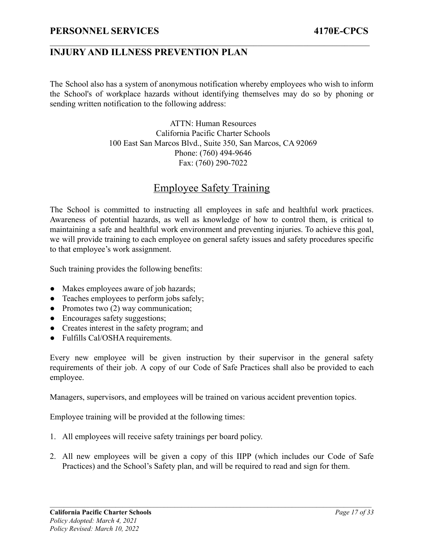The School also has a system of anonymous notification whereby employees who wish to inform the School's of workplace hazards without identifying themselves may do so by phoning or sending written notification to the following address:

 $\mathcal{L}_\mathcal{L} = \{ \mathcal{L}_\mathcal{L} = \{ \mathcal{L}_\mathcal{L} = \{ \mathcal{L}_\mathcal{L} = \{ \mathcal{L}_\mathcal{L} = \{ \mathcal{L}_\mathcal{L} = \{ \mathcal{L}_\mathcal{L} = \{ \mathcal{L}_\mathcal{L} = \{ \mathcal{L}_\mathcal{L} = \{ \mathcal{L}_\mathcal{L} = \{ \mathcal{L}_\mathcal{L} = \{ \mathcal{L}_\mathcal{L} = \{ \mathcal{L}_\mathcal{L} = \{ \mathcal{L}_\mathcal{L} = \{ \mathcal{L}_\mathcal{$ 

ATTN: Human Resources California Pacific Charter Schools 100 East San Marcos Blvd., Suite 350, San Marcos, CA 92069 Phone: (760) 494-9646 Fax: (760) 290-7022

# Employee Safety Training

<span id="page-20-0"></span>The School is committed to instructing all employees in safe and healthful work practices. Awareness of potential hazards, as well as knowledge of how to control them, is critical to maintaining a safe and healthful work environment and preventing injuries. To achieve this goal, we will provide training to each employee on general safety issues and safety procedures specific to that employee's work assignment.

Such training provides the following benefits:

- Makes employees aware of job hazards;
- Teaches employees to perform jobs safely;
- Promotes two (2) way communication;
- Encourages safety suggestions;
- Creates interest in the safety program; and
- Fulfills Cal/OSHA requirements.

Every new employee will be given instruction by their supervisor in the general safety requirements of their job. A copy of our Code of Safe Practices shall also be provided to each employee.

Managers, supervisors, and employees will be trained on various accident prevention topics.

Employee training will be provided at the following times:

- 1. All employees will receive safety trainings per board policy.
- 2. All new employees will be given a copy of this IIPP (which includes our Code of Safe Practices) and the School's Safety plan, and will be required to read and sign for them.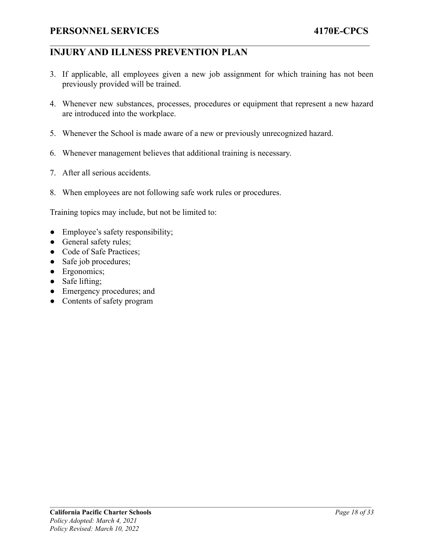### **INJURY AND ILLNESS PREVENTION PLAN**

3. If applicable, all employees given a new job assignment for which training has not been previously provided will be trained.

 $\mathcal{L}_\mathcal{L} = \{ \mathcal{L}_\mathcal{L} = \{ \mathcal{L}_\mathcal{L} = \{ \mathcal{L}_\mathcal{L} = \{ \mathcal{L}_\mathcal{L} = \{ \mathcal{L}_\mathcal{L} = \{ \mathcal{L}_\mathcal{L} = \{ \mathcal{L}_\mathcal{L} = \{ \mathcal{L}_\mathcal{L} = \{ \mathcal{L}_\mathcal{L} = \{ \mathcal{L}_\mathcal{L} = \{ \mathcal{L}_\mathcal{L} = \{ \mathcal{L}_\mathcal{L} = \{ \mathcal{L}_\mathcal{L} = \{ \mathcal{L}_\mathcal{$ 

- 4. Whenever new substances, processes, procedures or equipment that represent a new hazard are introduced into the workplace.
- 5. Whenever the School is made aware of a new or previously unrecognized hazard.
- 6. Whenever management believes that additional training is necessary.
- 7. After all serious accidents.
- 8. When employees are not following safe work rules or procedures.

Training topics may include, but not be limited to:

- Employee's safety responsibility;
- General safety rules;
- Code of Safe Practices;
- Safe job procedures;
- Ergonomics;
- Safe lifting;
- Emergency procedures; and
- Contents of safety program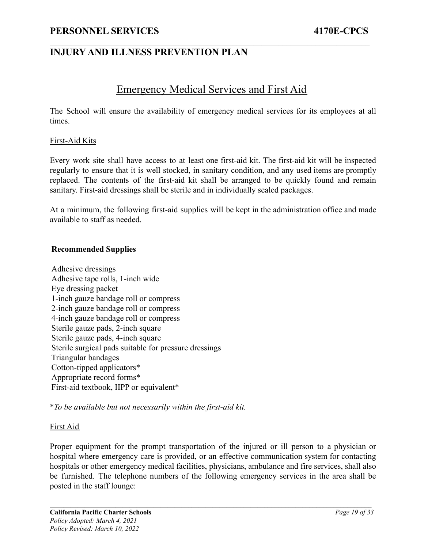### <span id="page-22-0"></span>**INJURY AND ILLNESS PREVENTION PLAN**

### Emergency Medical Services and First Aid

 $\mathcal{L}_\mathcal{L} = \{ \mathcal{L}_\mathcal{L} = \{ \mathcal{L}_\mathcal{L} = \{ \mathcal{L}_\mathcal{L} = \{ \mathcal{L}_\mathcal{L} = \{ \mathcal{L}_\mathcal{L} = \{ \mathcal{L}_\mathcal{L} = \{ \mathcal{L}_\mathcal{L} = \{ \mathcal{L}_\mathcal{L} = \{ \mathcal{L}_\mathcal{L} = \{ \mathcal{L}_\mathcal{L} = \{ \mathcal{L}_\mathcal{L} = \{ \mathcal{L}_\mathcal{L} = \{ \mathcal{L}_\mathcal{L} = \{ \mathcal{L}_\mathcal{$ 

The School will ensure the availability of emergency medical services for its employees at all times.

#### <span id="page-22-1"></span>First-Aid Kits

Every work site shall have access to at least one first-aid kit. The first-aid kit will be inspected regularly to ensure that it is well stocked, in sanitary condition, and any used items are promptly replaced. The contents of the first-aid kit shall be arranged to be quickly found and remain sanitary. First-aid dressings shall be sterile and in individually sealed packages.

At a minimum, the following first-aid supplies will be kept in the administration office and made available to staff as needed.

#### **Recommended Supplies**

Adhesive dressings Adhesive tape rolls, 1-inch wide Eye dressing packet 1-inch gauze bandage roll or compress 2-inch gauze bandage roll or compress 4-inch gauze bandage roll or compress Sterile gauze pads, 2-inch square Sterile gauze pads, 4-inch square Sterile surgical pads suitable for pressure dressings Triangular bandages Cotton-tipped applicators\* Appropriate record forms\* First-aid textbook, IIPP or equivalent\*

\**To be available but not necessarily within the first-aid kit.*

#### <span id="page-22-2"></span>First Aid

Proper equipment for the prompt transportation of the injured or ill person to a physician or hospital where emergency care is provided, or an effective communication system for contacting hospitals or other emergency medical facilities, physicians, ambulance and fire services, shall also be furnished. The telephone numbers of the following emergency services in the area shall be posted in the staff lounge: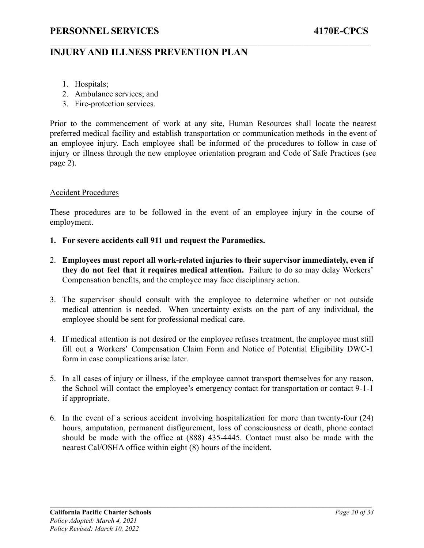### **INJURY AND ILLNESS PREVENTION PLAN**

- 1. Hospitals;
- 2. Ambulance services; and
- 3. Fire-protection services.

Prior to the commencement of work at any site, Human Resources shall locate the nearest preferred medical facility and establish transportation or communication methods in the event of an employee injury. Each employee shall be informed of the procedures to follow in case of injury or illness through the new employee orientation program and Code of Safe Practices (see page 2).

 $\mathcal{L}_\mathcal{L} = \{ \mathcal{L}_\mathcal{L} = \{ \mathcal{L}_\mathcal{L} = \{ \mathcal{L}_\mathcal{L} = \{ \mathcal{L}_\mathcal{L} = \{ \mathcal{L}_\mathcal{L} = \{ \mathcal{L}_\mathcal{L} = \{ \mathcal{L}_\mathcal{L} = \{ \mathcal{L}_\mathcal{L} = \{ \mathcal{L}_\mathcal{L} = \{ \mathcal{L}_\mathcal{L} = \{ \mathcal{L}_\mathcal{L} = \{ \mathcal{L}_\mathcal{L} = \{ \mathcal{L}_\mathcal{L} = \{ \mathcal{L}_\mathcal{$ 

#### <span id="page-23-0"></span>Accident Procedures

These procedures are to be followed in the event of an employee injury in the course of employment.

- **1. For severe accidents call 911 and request the Paramedics.**
- 2. **Employees must report all work-related injuries to their supervisor immediately, even if they do not feel that it requires medical attention.** Failure to do so may delay Workers' Compensation benefits, and the employee may face disciplinary action.
- 3. The supervisor should consult with the employee to determine whether or not outside medical attention is needed. When uncertainty exists on the part of any individual, the employee should be sent for professional medical care.
- 4. If medical attention is not desired or the employee refuses treatment, the employee must still fill out a Workers' Compensation Claim Form and Notice of Potential Eligibility DWC-1 form in case complications arise later.
- 5. In all cases of injury or illness, if the employee cannot transport themselves for any reason, the School will contact the employee's emergency contact for transportation or contact 9-1-1 if appropriate.
- 6. In the event of a serious accident involving hospitalization for more than twenty-four (24) hours, amputation, permanent disfigurement, loss of consciousness or death, phone contact should be made with the office at (888) 435-4445. Contact must also be made with the nearest Cal/OSHA office within eight (8) hours of the incident.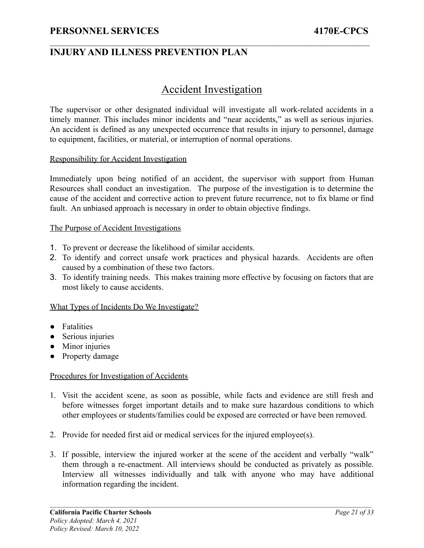### <span id="page-24-0"></span>**INJURY AND ILLNESS PREVENTION PLAN**

### Accident Investigation

 $\mathcal{L}_\mathcal{L} = \{ \mathcal{L}_\mathcal{L} = \{ \mathcal{L}_\mathcal{L} = \{ \mathcal{L}_\mathcal{L} = \{ \mathcal{L}_\mathcal{L} = \{ \mathcal{L}_\mathcal{L} = \{ \mathcal{L}_\mathcal{L} = \{ \mathcal{L}_\mathcal{L} = \{ \mathcal{L}_\mathcal{L} = \{ \mathcal{L}_\mathcal{L} = \{ \mathcal{L}_\mathcal{L} = \{ \mathcal{L}_\mathcal{L} = \{ \mathcal{L}_\mathcal{L} = \{ \mathcal{L}_\mathcal{L} = \{ \mathcal{L}_\mathcal{$ 

The supervisor or other designated individual will investigate all work-related accidents in a timely manner. This includes minor incidents and "near accidents," as well as serious injuries. An accident is defined as any unexpected occurrence that results in injury to personnel, damage to equipment, facilities, or material, or interruption of normal operations.

#### <span id="page-24-1"></span>Responsibility for Accident Investigation

Immediately upon being notified of an accident, the supervisor with support from Human Resources shall conduct an investigation. The purpose of the investigation is to determine the cause of the accident and corrective action to prevent future recurrence, not to fix blame or find fault. An unbiased approach is necessary in order to obtain objective findings.

#### <span id="page-24-2"></span>The Purpose of Accident Investigations

- 1. To prevent or decrease the likelihood of similar accidents.
- 2. To identify and correct unsafe work practices and physical hazards. Accidents are often caused by a combination of these two factors.
- 3. To identify training needs. This makes training more effective by focusing on factors that are most likely to cause accidents.

#### <span id="page-24-3"></span>What Types of Incidents Do We Investigate?

- Fatalities
- Serious injuries
- Minor injuries
- Property damage

#### <span id="page-24-4"></span>Procedures for Investigation of Accidents

- 1. Visit the accident scene, as soon as possible, while facts and evidence are still fresh and before witnesses forget important details and to make sure hazardous conditions to which other employees or students/families could be exposed are corrected or have been removed.
- 2. Provide for needed first aid or medical services for the injured employee(s).
- 3. If possible, interview the injured worker at the scene of the accident and verbally "walk" them through a re-enactment. All interviews should be conducted as privately as possible. Interview all witnesses individually and talk with anyone who may have additional information regarding the incident.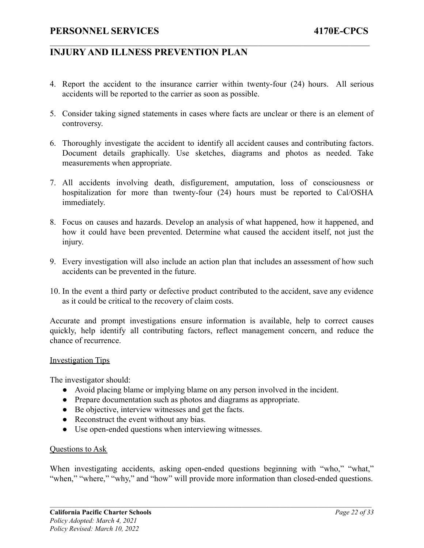4. Report the accident to the insurance carrier within twenty-four (24) hours. All serious accidents will be reported to the carrier as soon as possible.

 $\mathcal{L}_\mathcal{L} = \{ \mathcal{L}_\mathcal{L} = \{ \mathcal{L}_\mathcal{L} = \{ \mathcal{L}_\mathcal{L} = \{ \mathcal{L}_\mathcal{L} = \{ \mathcal{L}_\mathcal{L} = \{ \mathcal{L}_\mathcal{L} = \{ \mathcal{L}_\mathcal{L} = \{ \mathcal{L}_\mathcal{L} = \{ \mathcal{L}_\mathcal{L} = \{ \mathcal{L}_\mathcal{L} = \{ \mathcal{L}_\mathcal{L} = \{ \mathcal{L}_\mathcal{L} = \{ \mathcal{L}_\mathcal{L} = \{ \mathcal{L}_\mathcal{$ 

- 5. Consider taking signed statements in cases where facts are unclear or there is an element of controversy.
- 6. Thoroughly investigate the accident to identify all accident causes and contributing factors. Document details graphically. Use sketches, diagrams and photos as needed. Take measurements when appropriate.
- 7. All accidents involving death, disfigurement, amputation, loss of consciousness or hospitalization for more than twenty-four (24) hours must be reported to Cal/OSHA immediately.
- 8. Focus on causes and hazards. Develop an analysis of what happened, how it happened, and how it could have been prevented. Determine what caused the accident itself, not just the injury.
- 9. Every investigation will also include an action plan that includes an assessment of how such accidents can be prevented in the future.
- 10. In the event a third party or defective product contributed to the accident, save any evidence as it could be critical to the recovery of claim costs.

Accurate and prompt investigations ensure information is available, help to correct causes quickly, help identify all contributing factors, reflect management concern, and reduce the chance of recurrence.

#### Investigation Tips

The investigator should:

- Avoid placing blame or implying blame on any person involved in the incident.
- Prepare documentation such as photos and diagrams as appropriate.
- Be objective, interview witnesses and get the facts.
- Reconstruct the event without any bias.
- Use open-ended questions when interviewing witnesses.

#### <span id="page-25-0"></span>Questions to Ask

When investigating accidents, asking open-ended questions beginning with "who," "what," "when," "where," "why," and "how" will provide more information than closed-ended questions.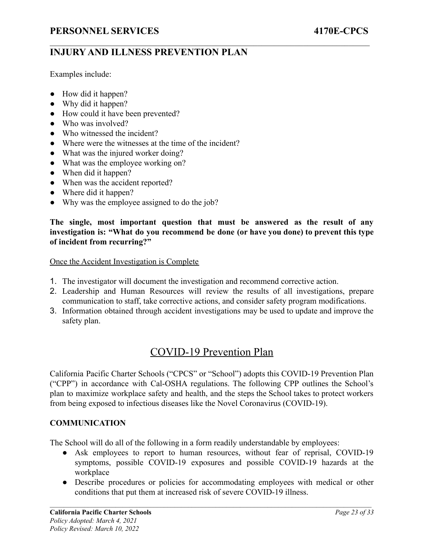Examples include:

- How did it happen?
- Why did it happen?
- How could it have been prevented?
- Who was involved?
- Who witnessed the incident?
- Where were the witnesses at the time of the incident?
- What was the injured worker doing?
- What was the employee working on?
- When did it happen?
- When was the accident reported?
- Where did it happen?
- Why was the employee assigned to do the job?

**The single, most important question that must be answered as the result of any investigation is: "What do you recommend be done (or have you done) to prevent this type of incident from recurring?"**

 $\mathcal{L}_\mathcal{L} = \{ \mathcal{L}_\mathcal{L} = \{ \mathcal{L}_\mathcal{L} = \{ \mathcal{L}_\mathcal{L} = \{ \mathcal{L}_\mathcal{L} = \{ \mathcal{L}_\mathcal{L} = \{ \mathcal{L}_\mathcal{L} = \{ \mathcal{L}_\mathcal{L} = \{ \mathcal{L}_\mathcal{L} = \{ \mathcal{L}_\mathcal{L} = \{ \mathcal{L}_\mathcal{L} = \{ \mathcal{L}_\mathcal{L} = \{ \mathcal{L}_\mathcal{L} = \{ \mathcal{L}_\mathcal{L} = \{ \mathcal{L}_\mathcal{$ 

<span id="page-26-0"></span>Once the Accident Investigation is Complete

- 1. The investigator will document the investigation and recommend corrective action.
- 2. Leadership and Human Resources will review the results of all investigations, prepare communication to staff, take corrective actions, and consider safety program modifications.
- 3. Information obtained through accident investigations may be used to update and improve the safety plan.

# COVID-19 Prevention Plan

<span id="page-26-1"></span>California Pacific Charter Schools ("CPCS" or "School") adopts this COVID-19 Prevention Plan ("CPP") in accordance with Cal-OSHA regulations. The following CPP outlines the School's plan to maximize workplace safety and health, and the steps the School takes to protect workers from being exposed to infectious diseases like the Novel Coronavirus (COVID-19).

#### **COMMUNICATION**

The School will do all of the following in a form readily understandable by employees:

- Ask employees to report to human resources, without fear of reprisal, COVID-19 symptoms, possible COVID-19 exposures and possible COVID-19 hazards at the workplace
- Describe procedures or policies for accommodating employees with medical or other conditions that put them at increased risk of severe COVID-19 illness.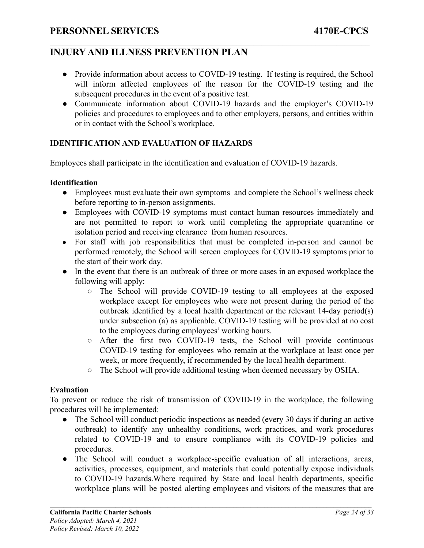• Provide information about access to COVID-19 testing. If testing is required, the School will inform affected employees of the reason for the COVID-19 testing and the subsequent procedures in the event of a positive test.

 $\mathcal{L}_\mathcal{L} = \{ \mathcal{L}_\mathcal{L} = \{ \mathcal{L}_\mathcal{L} = \{ \mathcal{L}_\mathcal{L} = \{ \mathcal{L}_\mathcal{L} = \{ \mathcal{L}_\mathcal{L} = \{ \mathcal{L}_\mathcal{L} = \{ \mathcal{L}_\mathcal{L} = \{ \mathcal{L}_\mathcal{L} = \{ \mathcal{L}_\mathcal{L} = \{ \mathcal{L}_\mathcal{L} = \{ \mathcal{L}_\mathcal{L} = \{ \mathcal{L}_\mathcal{L} = \{ \mathcal{L}_\mathcal{L} = \{ \mathcal{L}_\mathcal{$ 

● Communicate information about COVID-19 hazards and the employer's COVID-19 policies and procedures to employees and to other employers, persons, and entities within or in contact with the School's workplace.

#### **IDENTIFICATION AND EVALUATION OF HAZARDS**

Employees shall participate in the identification and evaluation of COVID-19 hazards.

#### **Identification**

- Employees must evaluate their own symptoms and complete the School's wellness check before reporting to in-person assignments.
- Employees with COVID-19 symptoms must contact human resources immediately and are not permitted to report to work until completing the appropriate quarantine or isolation period and receiving clearance from human resources.
- For staff with job responsibilities that must be completed in-person and cannot be performed remotely, the School will screen employees for COVID-19 symptoms prior to the start of their work day.
- In the event that there is an outbreak of three or more cases in an exposed workplace the following will apply:
	- The School will provide COVID-19 testing to all employees at the exposed workplace except for employees who were not present during the period of the outbreak identified by a local health department or the relevant 14-day period(s) under subsection (a) as applicable. COVID-19 testing will be provided at no cost to the employees during employees' working hours.
	- After the first two COVID-19 tests, the School will provide continuous COVID-19 testing for employees who remain at the workplace at least once per week, or more frequently, if recommended by the local health department.
	- The School will provide additional testing when deemed necessary by OSHA.

#### **Evaluation**

To prevent or reduce the risk of transmission of COVID-19 in the workplace, the following procedures will be implemented:

- The School will conduct periodic inspections as needed (every 30 days if during an active outbreak) to identify any unhealthy conditions, work practices, and work procedures related to COVID-19 and to ensure compliance with its COVID-19 policies and procedures.
- The School will conduct a workplace-specific evaluation of all interactions, areas, activities, processes, equipment, and materials that could potentially expose individuals to COVID-19 hazards.Where required by State and local health departments, specific workplace plans will be posted alerting employees and visitors of the measures that are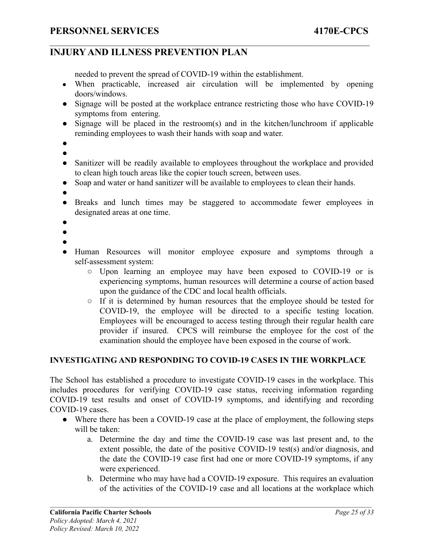needed to prevent the spread of COVID-19 within the establishment.

• When practicable, increased air circulation will be implemented by opening doors/windows.

 $\mathcal{L}_\mathcal{L} = \{ \mathcal{L}_\mathcal{L} = \{ \mathcal{L}_\mathcal{L} = \{ \mathcal{L}_\mathcal{L} = \{ \mathcal{L}_\mathcal{L} = \{ \mathcal{L}_\mathcal{L} = \{ \mathcal{L}_\mathcal{L} = \{ \mathcal{L}_\mathcal{L} = \{ \mathcal{L}_\mathcal{L} = \{ \mathcal{L}_\mathcal{L} = \{ \mathcal{L}_\mathcal{L} = \{ \mathcal{L}_\mathcal{L} = \{ \mathcal{L}_\mathcal{L} = \{ \mathcal{L}_\mathcal{L} = \{ \mathcal{L}_\mathcal{$ 

- Signage will be posted at the workplace entrance restricting those who have COVID-19 symptoms from entering.
- Signage will be placed in the restroom(s) and in the kitchen/lunchroom if applicable reminding employees to wash their hands with soap and water.
- $\bullet$
- Sanitizer will be readily available to employees throughout the workplace and provided to clean high touch areas like the copier touch screen, between uses.
- Soap and water or hand sanitizer will be available to employees to clean their hands.
- ●
- Breaks and lunch times may be staggered to accommodate fewer employees in designated areas at one time.
- ●
- ●
- ●
- Human Resources will monitor employee exposure and symptoms through a self-assessment system:
	- Upon learning an employee may have been exposed to COVID-19 or is experiencing symptoms, human resources will determine a course of action based upon the guidance of the CDC and local health officials.
	- If it is determined by human resources that the employee should be tested for COVID-19, the employee will be directed to a specific testing location. Employees will be encouraged to access testing through their regular health care provider if insured. CPCS will reimburse the employee for the cost of the examination should the employee have been exposed in the course of work.

#### **INVESTIGATING AND RESPONDING TO COVID-19 CASES IN THE WORKPLACE**

The School has established a procedure to investigate COVID-19 cases in the workplace. This includes procedures for verifying COVID-19 case status, receiving information regarding COVID-19 test results and onset of COVID-19 symptoms, and identifying and recording COVID-19 cases.

- Where there has been a COVID-19 case at the place of employment, the following steps will be taken:
	- a. Determine the day and time the COVID-19 case was last present and, to the extent possible, the date of the positive COVID-19 test(s) and/or diagnosis, and the date the COVID-19 case first had one or more COVID-19 symptoms, if any were experienced.
	- b. Determine who may have had a COVID-19 exposure. This requires an evaluation of the activities of the COVID-19 case and all locations at the workplace which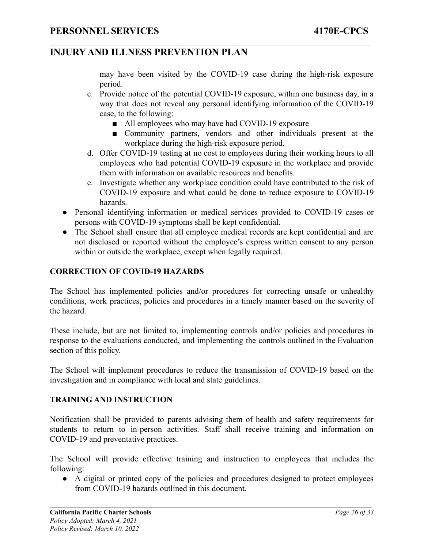may have been visited by the COVID-19 case during the high-risk exposure period.

- c. Provide notice of the potential COVID-19 exposure, within one business day, in a way that does not reveal any personal identifying information of the COVID-19 case, to the following:
	- All employees who may have had COVID-19 exposure

 $\mathcal{L}_\mathcal{L} = \{ \mathcal{L}_\mathcal{L} = \{ \mathcal{L}_\mathcal{L} = \{ \mathcal{L}_\mathcal{L} = \{ \mathcal{L}_\mathcal{L} = \{ \mathcal{L}_\mathcal{L} = \{ \mathcal{L}_\mathcal{L} = \{ \mathcal{L}_\mathcal{L} = \{ \mathcal{L}_\mathcal{L} = \{ \mathcal{L}_\mathcal{L} = \{ \mathcal{L}_\mathcal{L} = \{ \mathcal{L}_\mathcal{L} = \{ \mathcal{L}_\mathcal{L} = \{ \mathcal{L}_\mathcal{L} = \{ \mathcal{L}_\mathcal{$ 

- Community partners, vendors and other individuals present at the workplace during the high-risk exposure period.
- d. Offer COVID-19 testing at no cost to employees during their working hours to all employees who had potential COVID-19 exposure in the workplace and provide them with information on available resources and benefits.
- e. Investigate whether any workplace condition could have contributed to the risk of COVID-19 exposure and what could be done to reduce exposure to COVID-19 hazards.
- Personal identifying information or medical services provided to COVID-19 cases or persons with COVID-19 symptoms shall be kept confidential.
- The School shall ensure that all employee medical records are kept confidential and are not disclosed or reported without the employee's express written consent to any person within or outside the workplace, except when legally required.

#### **CORRECTION OF COVID-19 HAZARDS**

The School has implemented policies and/or procedures for correcting unsafe or unhealthy conditions, work practices, policies and procedures in a timely manner based on the severity of the hazard.

These include, but are not limited to, implementing controls and/or policies and procedures in response to the evaluations conducted, and implementing the controls outlined in the Evaluation section of this policy.

The School will implement procedures to reduce the transmission of COVID-19 based on the investigation and in compliance with local and state guidelines.

#### **TRAINING AND INSTRUCTION**

Notification shall be provided to parents advising them of health and safety requirements for students to return to in-person activities. Staff shall receive training and information on COVID-19 and preventative practices.

The School will provide effective training and instruction to employees that includes the following:

● A digital or printed copy of the policies and procedures designed to protect employees from COVID-19 hazards outlined in this document.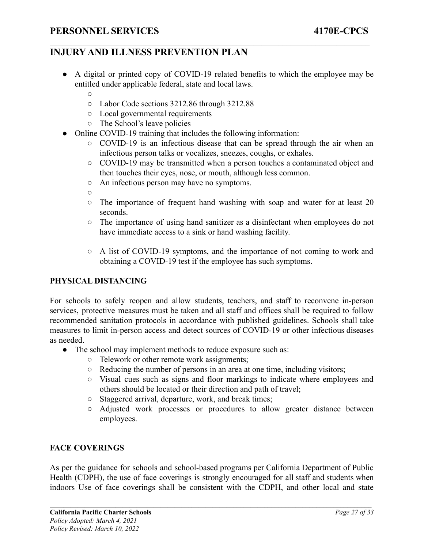● A digital or printed copy of COVID-19 related benefits to which the employee may be entitled under applicable federal, state and local laws.

 $\mathcal{L}_\mathcal{L} = \{ \mathcal{L}_\mathcal{L} = \{ \mathcal{L}_\mathcal{L} = \{ \mathcal{L}_\mathcal{L} = \{ \mathcal{L}_\mathcal{L} = \{ \mathcal{L}_\mathcal{L} = \{ \mathcal{L}_\mathcal{L} = \{ \mathcal{L}_\mathcal{L} = \{ \mathcal{L}_\mathcal{L} = \{ \mathcal{L}_\mathcal{L} = \{ \mathcal{L}_\mathcal{L} = \{ \mathcal{L}_\mathcal{L} = \{ \mathcal{L}_\mathcal{L} = \{ \mathcal{L}_\mathcal{L} = \{ \mathcal{L}_\mathcal{$ 

- $\Omega$
- Labor Code sections 3212.86 through 3212.88
- Local governmental requirements
- The School's leave policies
- Online COVID-19 training that includes the following information:
	- COVID-19 is an infectious disease that can be spread through the air when an infectious person talks or vocalizes, sneezes, coughs, or exhales.
	- COVID-19 may be transmitted when a person touches a contaminated object and then touches their eyes, nose, or mouth, although less common.
	- An infectious person may have no symptoms.
	- $\Omega$
	- The importance of frequent hand washing with soap and water for at least 20 seconds.
	- The importance of using hand sanitizer as a disinfectant when employees do not have immediate access to a sink or hand washing facility.
	- A list of COVID-19 symptoms, and the importance of not coming to work and obtaining a COVID-19 test if the employee has such symptoms.

#### **PHYSICAL DISTANCING**

For schools to safely reopen and allow students, teachers, and staff to reconvene in-person services, protective measures must be taken and all staff and offices shall be required to follow recommended sanitation protocols in accordance with published guidelines. Schools shall take measures to limit in-person access and detect sources of COVID-19 or other infectious diseases as needed.

- The school may implement methods to reduce exposure such as:
	- Telework or other remote work assignments;
	- Reducing the number of persons in an area at one time, including visitors;
	- Visual cues such as signs and floor markings to indicate where employees and others should be located or their direction and path of travel;
	- Staggered arrival, departure, work, and break times;
	- Adjusted work processes or procedures to allow greater distance between employees.

#### **FACE COVERINGS**

As per the guidance for schools and school-based programs per California Department of Public Health (CDPH), the use of face coverings is strongly encouraged for all staff and students when indoors Use of face coverings shall be consistent with the CDPH, and other local and state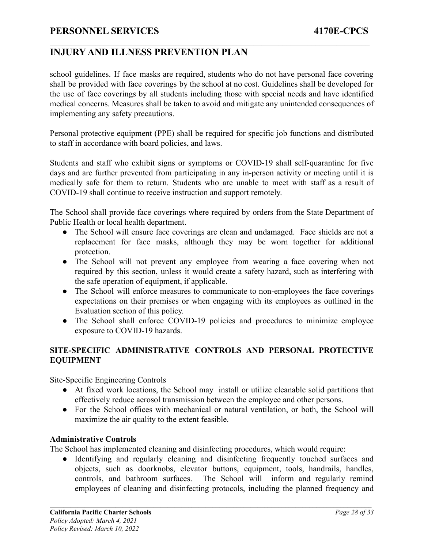### **INJURY AND ILLNESS PREVENTION PLAN**

school guidelines. If face masks are required, students who do not have personal face covering shall be provided with face coverings by the school at no cost. Guidelines shall be developed for the use of face coverings by all students including those with special needs and have identified medical concerns. Measures shall be taken to avoid and mitigate any unintended consequences of implementing any safety precautions.

 $\mathcal{L}_\mathcal{L} = \{ \mathcal{L}_\mathcal{L} = \{ \mathcal{L}_\mathcal{L} = \{ \mathcal{L}_\mathcal{L} = \{ \mathcal{L}_\mathcal{L} = \{ \mathcal{L}_\mathcal{L} = \{ \mathcal{L}_\mathcal{L} = \{ \mathcal{L}_\mathcal{L} = \{ \mathcal{L}_\mathcal{L} = \{ \mathcal{L}_\mathcal{L} = \{ \mathcal{L}_\mathcal{L} = \{ \mathcal{L}_\mathcal{L} = \{ \mathcal{L}_\mathcal{L} = \{ \mathcal{L}_\mathcal{L} = \{ \mathcal{L}_\mathcal{$ 

Personal protective equipment (PPE) shall be required for specific job functions and distributed to staff in accordance with board policies, and laws.

Students and staff who exhibit signs or symptoms or COVID-19 shall self-quarantine for five days and are further prevented from participating in any in-person activity or meeting until it is medically safe for them to return. Students who are unable to meet with staff as a result of COVID-19 shall continue to receive instruction and support remotely.

The School shall provide face coverings where required by orders from the State Department of Public Health or local health department.

- The School will ensure face coverings are clean and undamaged. Face shields are not a replacement for face masks, although they may be worn together for additional protection.
- The School will not prevent any employee from wearing a face covering when not required by this section, unless it would create a safety hazard, such as interfering with the safe operation of equipment, if applicable.
- The School will enforce measures to communicate to non-employees the face coverings expectations on their premises or when engaging with its employees as outlined in the Evaluation section of this policy.
- The School shall enforce COVID-19 policies and procedures to minimize employee exposure to COVID-19 hazards.

#### **SITE-SPECIFIC ADMINISTRATIVE CONTROLS AND PERSONAL PROTECTIVE EQUIPMENT**

Site-Specific Engineering Controls

- At fixed work locations, the School may install or utilize cleanable solid partitions that effectively reduce aerosol transmission between the employee and other persons.
- For the School offices with mechanical or natural ventilation, or both, the School will maximize the air quality to the extent feasible.

#### **Administrative Controls**

The School has implemented cleaning and disinfecting procedures, which would require:

● Identifying and regularly cleaning and disinfecting frequently touched surfaces and objects, such as doorknobs, elevator buttons, equipment, tools, handrails, handles, controls, and bathroom surfaces. The School will inform and regularly remind employees of cleaning and disinfecting protocols, including the planned frequency and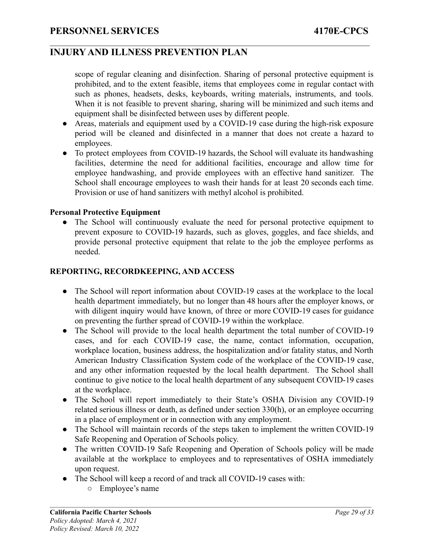scope of regular cleaning and disinfection. Sharing of personal protective equipment is prohibited, and to the extent feasible, items that employees come in regular contact with such as phones, headsets, desks, keyboards, writing materials, instruments, and tools. When it is not feasible to prevent sharing, sharing will be minimized and such items and equipment shall be disinfected between uses by different people.

 $\mathcal{L}_\mathcal{L} = \{ \mathcal{L}_\mathcal{L} = \{ \mathcal{L}_\mathcal{L} = \{ \mathcal{L}_\mathcal{L} = \{ \mathcal{L}_\mathcal{L} = \{ \mathcal{L}_\mathcal{L} = \{ \mathcal{L}_\mathcal{L} = \{ \mathcal{L}_\mathcal{L} = \{ \mathcal{L}_\mathcal{L} = \{ \mathcal{L}_\mathcal{L} = \{ \mathcal{L}_\mathcal{L} = \{ \mathcal{L}_\mathcal{L} = \{ \mathcal{L}_\mathcal{L} = \{ \mathcal{L}_\mathcal{L} = \{ \mathcal{L}_\mathcal{$ 

- Areas, materials and equipment used by a COVID-19 case during the high-risk exposure period will be cleaned and disinfected in a manner that does not create a hazard to employees.
- To protect employees from COVID-19 hazards, the School will evaluate its handwashing facilities, determine the need for additional facilities, encourage and allow time for employee handwashing, and provide employees with an effective hand sanitizer. The School shall encourage employees to wash their hands for at least 20 seconds each time. Provision or use of hand sanitizers with methyl alcohol is prohibited.

#### **Personal Protective Equipment**

• The School will continuously evaluate the need for personal protective equipment to prevent exposure to COVID-19 hazards, such as gloves, goggles, and face shields, and provide personal protective equipment that relate to the job the employee performs as needed.

#### **REPORTING, RECORDKEEPING, AND ACCESS**

- The School will report information about COVID-19 cases at the workplace to the local health department immediately, but no longer than 48 hours after the employer knows, or with diligent inquiry would have known, of three or more COVID-19 cases for guidance on preventing the further spread of COVID-19 within the workplace.
- The School will provide to the local health department the total number of COVID-19 cases, and for each COVID-19 case, the name, contact information, occupation, workplace location, business address, the hospitalization and/or fatality status, and North American Industry Classification System code of the workplace of the COVID-19 case, and any other information requested by the local health department. The School shall continue to give notice to the local health department of any subsequent COVID-19 cases at the workplace.
- The School will report immediately to their State's OSHA Division any COVID-19 related serious illness or death, as defined under section 330(h), or an employee occurring in a place of employment or in connection with any employment.
- The School will maintain records of the steps taken to implement the written COVID-19 Safe Reopening and Operation of Schools policy.
- The written COVID-19 Safe Reopening and Operation of Schools policy will be made available at the workplace to employees and to representatives of OSHA immediately upon request.
- The School will keep a record of and track all COVID-19 cases with:
	- Employee's name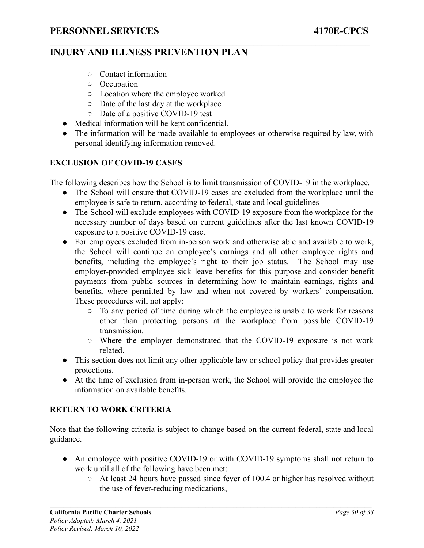- Contact information
- Occupation
- Location where the employee worked
- Date of the last day at the workplace
- Date of a positive COVID-19 test
- Medical information will be kept confidential.
- The information will be made available to employees or otherwise required by law, with personal identifying information removed.

 $\mathcal{L}_\mathcal{L} = \{ \mathcal{L}_\mathcal{L} = \{ \mathcal{L}_\mathcal{L} = \{ \mathcal{L}_\mathcal{L} = \{ \mathcal{L}_\mathcal{L} = \{ \mathcal{L}_\mathcal{L} = \{ \mathcal{L}_\mathcal{L} = \{ \mathcal{L}_\mathcal{L} = \{ \mathcal{L}_\mathcal{L} = \{ \mathcal{L}_\mathcal{L} = \{ \mathcal{L}_\mathcal{L} = \{ \mathcal{L}_\mathcal{L} = \{ \mathcal{L}_\mathcal{L} = \{ \mathcal{L}_\mathcal{L} = \{ \mathcal{L}_\mathcal{$ 

#### **EXCLUSION OF COVID-19 CASES**

The following describes how the School is to limit transmission of COVID-19 in the workplace.

- The School will ensure that COVID-19 cases are excluded from the workplace until the employee is safe to return, according to federal, state and local guidelines
- The School will exclude employees with COVID-19 exposure from the workplace for the necessary number of days based on current guidelines after the last known COVID-19 exposure to a positive COVID-19 case.
- For employees excluded from in-person work and otherwise able and available to work, the School will continue an employee's earnings and all other employee rights and benefits, including the employee's right to their job status. The School may use employer-provided employee sick leave benefits for this purpose and consider benefit payments from public sources in determining how to maintain earnings, rights and benefits, where permitted by law and when not covered by workers' compensation. These procedures will not apply:
	- To any period of time during which the employee is unable to work for reasons other than protecting persons at the workplace from possible COVID-19 transmission.
	- Where the employer demonstrated that the COVID-19 exposure is not work related.
- This section does not limit any other applicable law or school policy that provides greater protections.
- At the time of exclusion from in-person work, the School will provide the employee the information on available benefits.

#### **RETURN TO WORK CRITERIA**

Note that the following criteria is subject to change based on the current federal, state and local guidance.

- An employee with positive COVID-19 or with COVID-19 symptoms shall not return to work until all of the following have been met:
	- At least 24 hours have passed since fever of 100.4 or higher has resolved without the use of fever-reducing medications,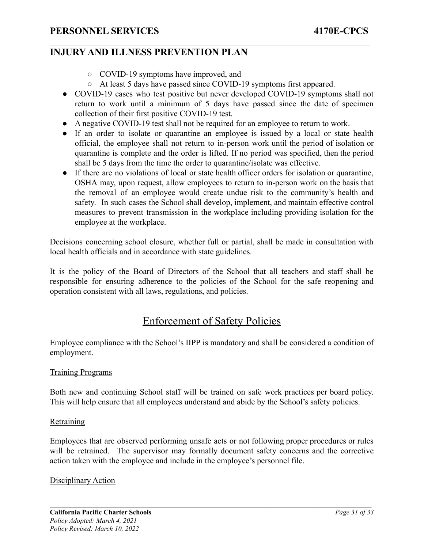- COVID-19 symptoms have improved, and
- At least 5 days have passed since COVID-19 symptoms first appeared.

 $\mathcal{L}_\mathcal{L} = \{ \mathcal{L}_\mathcal{L} = \{ \mathcal{L}_\mathcal{L} = \{ \mathcal{L}_\mathcal{L} = \{ \mathcal{L}_\mathcal{L} = \{ \mathcal{L}_\mathcal{L} = \{ \mathcal{L}_\mathcal{L} = \{ \mathcal{L}_\mathcal{L} = \{ \mathcal{L}_\mathcal{L} = \{ \mathcal{L}_\mathcal{L} = \{ \mathcal{L}_\mathcal{L} = \{ \mathcal{L}_\mathcal{L} = \{ \mathcal{L}_\mathcal{L} = \{ \mathcal{L}_\mathcal{L} = \{ \mathcal{L}_\mathcal{$ 

- COVID-19 cases who test positive but never developed COVID-19 symptoms shall not return to work until a minimum of 5 days have passed since the date of specimen collection of their first positive COVID-19 test.
- A negative COVID-19 test shall not be required for an employee to return to work.
- If an order to isolate or quarantine an employee is issued by a local or state health official, the employee shall not return to in-person work until the period of isolation or quarantine is complete and the order is lifted. If no period was specified, then the period shall be 5 days from the time the order to quarantine/isolate was effective.
- If there are no violations of local or state health officer orders for isolation or quarantine, OSHA may, upon request, allow employees to return to in-person work on the basis that the removal of an employee would create undue risk to the community's health and safety. In such cases the School shall develop, implement, and maintain effective control measures to prevent transmission in the workplace including providing isolation for the employee at the workplace.

Decisions concerning school closure, whether full or partial, shall be made in consultation with local health officials and in accordance with state guidelines.

It is the policy of the Board of Directors of the School that all teachers and staff shall be responsible for ensuring adherence to the policies of the School for the safe reopening and operation consistent with all laws, regulations, and policies.

# Enforcement of Safety Policies

<span id="page-34-0"></span>Employee compliance with the School's IIPP is mandatory and shall be considered a condition of employment.

#### Training Programs

Both new and continuing School staff will be trained on safe work practices per board policy. This will help ensure that all employees understand and abide by the School's safety policies.

#### **Retraining**

Employees that are observed performing unsafe acts or not following proper procedures or rules will be retrained. The supervisor may formally document safety concerns and the corrective action taken with the employee and include in the employee's personnel file.

#### <span id="page-34-1"></span>Disciplinary Action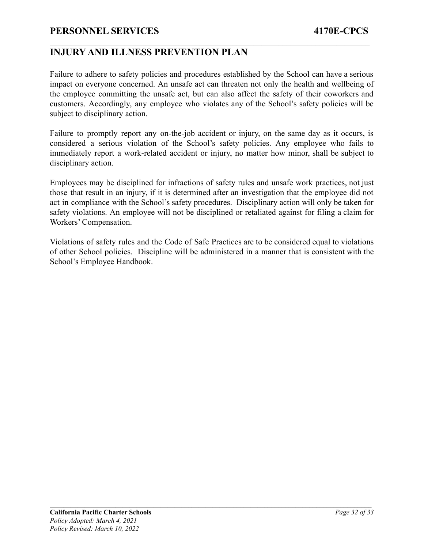### **INJURY AND ILLNESS PREVENTION PLAN**

Failure to adhere to safety policies and procedures established by the School can have a serious impact on everyone concerned. An unsafe act can threaten not only the health and wellbeing of the employee committing the unsafe act, but can also affect the safety of their coworkers and customers. Accordingly, any employee who violates any of the School's safety policies will be subject to disciplinary action.

 $\mathcal{L}_\mathcal{L} = \{ \mathcal{L}_\mathcal{L} = \{ \mathcal{L}_\mathcal{L} = \{ \mathcal{L}_\mathcal{L} = \{ \mathcal{L}_\mathcal{L} = \{ \mathcal{L}_\mathcal{L} = \{ \mathcal{L}_\mathcal{L} = \{ \mathcal{L}_\mathcal{L} = \{ \mathcal{L}_\mathcal{L} = \{ \mathcal{L}_\mathcal{L} = \{ \mathcal{L}_\mathcal{L} = \{ \mathcal{L}_\mathcal{L} = \{ \mathcal{L}_\mathcal{L} = \{ \mathcal{L}_\mathcal{L} = \{ \mathcal{L}_\mathcal{$ 

Failure to promptly report any on-the-job accident or injury, on the same day as it occurs, is considered a serious violation of the School's safety policies. Any employee who fails to immediately report a work-related accident or injury, no matter how minor, shall be subject to disciplinary action.

Employees may be disciplined for infractions of safety rules and unsafe work practices, not just those that result in an injury, if it is determined after an investigation that the employee did not act in compliance with the School's safety procedures. Disciplinary action will only be taken for safety violations. An employee will not be disciplined or retaliated against for filing a claim for Workers' Compensation.

Violations of safety rules and the Code of Safe Practices are to be considered equal to violations of other School policies. Discipline will be administered in a manner that is consistent with the School's Employee Handbook.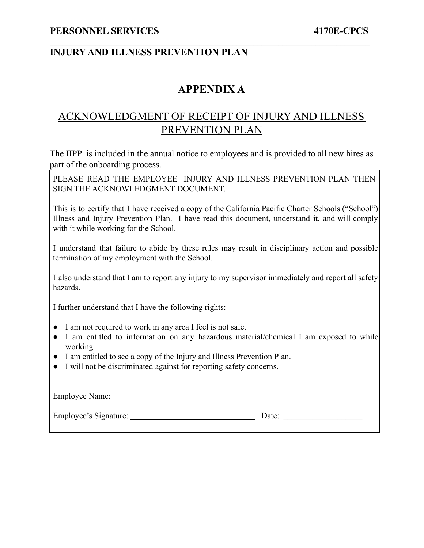# **APPENDIX A**

 $\mathcal{L}_\mathcal{L} = \{ \mathcal{L}_\mathcal{L} = \{ \mathcal{L}_\mathcal{L} = \{ \mathcal{L}_\mathcal{L} = \{ \mathcal{L}_\mathcal{L} = \{ \mathcal{L}_\mathcal{L} = \{ \mathcal{L}_\mathcal{L} = \{ \mathcal{L}_\mathcal{L} = \{ \mathcal{L}_\mathcal{L} = \{ \mathcal{L}_\mathcal{L} = \{ \mathcal{L}_\mathcal{L} = \{ \mathcal{L}_\mathcal{L} = \{ \mathcal{L}_\mathcal{L} = \{ \mathcal{L}_\mathcal{L} = \{ \mathcal{L}_\mathcal{$ 

# <span id="page-36-0"></span>ACKNOWLEDGMENT OF RECEIPT OF INJURY AND ILLNESS PREVENTION PLAN

The IIPP is included in the annual notice to employees and is provided to all new hires as part of the onboarding process.

PLEASE READ THE EMPLOYEE INJURY AND ILLNESS PREVENTION PLAN THEN SIGN THE ACKNOWLEDGMENT DOCUMENT.

This is to certify that I have received a copy of the California Pacific Charter Schools ("School") Illness and Injury Prevention Plan. I have read this document, understand it, and will comply with it while working for the School.

I understand that failure to abide by these rules may result in disciplinary action and possible termination of my employment with the School.

I also understand that I am to report any injury to my supervisor immediately and report all safety hazards.

I further understand that I have the following rights:

- I am not required to work in any area I feel is not safe.
- I am entitled to information on any hazardous material/chemical I am exposed to while working.
- I am entitled to see a copy of the Injury and Illness Prevention Plan.
- I will not be discriminated against for reporting safety concerns.

| <b>Employee Name:</b> |       |
|-----------------------|-------|
| Employee's Signature: | Date: |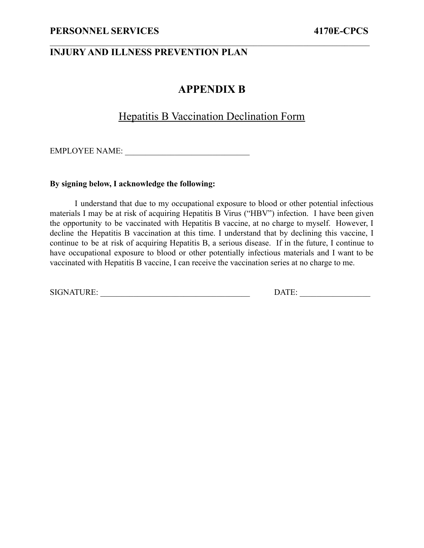# **APPENDIX B**

 $\mathcal{L}_\mathcal{L} = \{ \mathcal{L}_\mathcal{L} = \{ \mathcal{L}_\mathcal{L} = \{ \mathcal{L}_\mathcal{L} = \{ \mathcal{L}_\mathcal{L} = \{ \mathcal{L}_\mathcal{L} = \{ \mathcal{L}_\mathcal{L} = \{ \mathcal{L}_\mathcal{L} = \{ \mathcal{L}_\mathcal{L} = \{ \mathcal{L}_\mathcal{L} = \{ \mathcal{L}_\mathcal{L} = \{ \mathcal{L}_\mathcal{L} = \{ \mathcal{L}_\mathcal{L} = \{ \mathcal{L}_\mathcal{L} = \{ \mathcal{L}_\mathcal{$ 

### Hepatitis B Vaccination Declination Form

<span id="page-37-0"></span>EMPLOYEE NAME: \_\_\_\_\_\_\_\_\_\_\_\_\_\_\_\_\_\_\_\_\_\_\_\_\_\_\_\_\_\_

#### **By signing below, I acknowledge the following:**

I understand that due to my occupational exposure to blood or other potential infectious materials I may be at risk of acquiring Hepatitis B Virus ("HBV") infection. I have been given the opportunity to be vaccinated with Hepatitis B vaccine, at no charge to myself. However, I decline the Hepatitis B vaccination at this time. I understand that by declining this vaccine, I continue to be at risk of acquiring Hepatitis B, a serious disease. If in the future, I continue to have occupational exposure to blood or other potentially infectious materials and I want to be vaccinated with Hepatitis B vaccine, I can receive the vaccination series at no charge to me.

SIGNATURE: \_\_\_\_\_\_\_\_\_\_\_\_\_\_\_\_\_\_\_\_\_\_\_\_\_\_\_\_\_\_\_\_\_\_\_\_ DATE: \_\_\_\_\_\_\_\_\_\_\_\_\_\_\_\_\_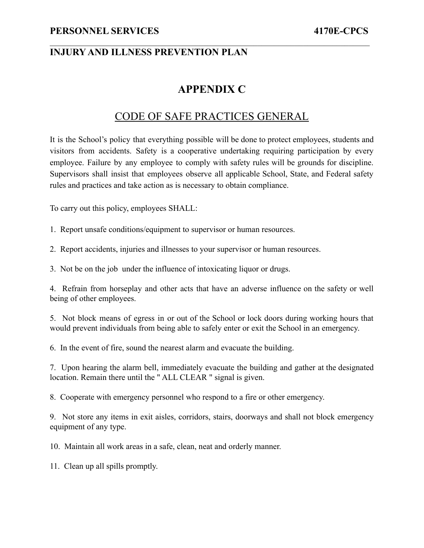### **INJURY AND ILLNESS PREVENTION PLAN**

## **APPENDIX C**

 $\mathcal{L}_\mathcal{L} = \{ \mathcal{L}_\mathcal{L} = \{ \mathcal{L}_\mathcal{L} = \{ \mathcal{L}_\mathcal{L} = \{ \mathcal{L}_\mathcal{L} = \{ \mathcal{L}_\mathcal{L} = \{ \mathcal{L}_\mathcal{L} = \{ \mathcal{L}_\mathcal{L} = \{ \mathcal{L}_\mathcal{L} = \{ \mathcal{L}_\mathcal{L} = \{ \mathcal{L}_\mathcal{L} = \{ \mathcal{L}_\mathcal{L} = \{ \mathcal{L}_\mathcal{L} = \{ \mathcal{L}_\mathcal{L} = \{ \mathcal{L}_\mathcal{$ 

### CODE OF SAFE PRACTICES GENERAL

<span id="page-38-0"></span>It is the School's policy that everything possible will be done to protect employees, students and visitors from accidents. Safety is a cooperative undertaking requiring participation by every employee. Failure by any employee to comply with safety rules will be grounds for discipline. Supervisors shall insist that employees observe all applicable School, State, and Federal safety rules and practices and take action as is necessary to obtain compliance.

To carry out this policy, employees SHALL:

1. Report unsafe conditions/equipment to supervisor or human resources.

2. Report accidents, injuries and illnesses to your supervisor or human resources.

3. Not be on the job under the influence of intoxicating liquor or drugs.

4. Refrain from horseplay and other acts that have an adverse influence on the safety or well being of other employees.

5. Not block means of egress in or out of the School or lock doors during working hours that would prevent individuals from being able to safely enter or exit the School in an emergency.

6. In the event of fire, sound the nearest alarm and evacuate the building.

7. Upon hearing the alarm bell, immediately evacuate the building and gather at the designated location. Remain there until the " ALL CLEAR " signal is given.

8. Cooperate with emergency personnel who respond to a fire or other emergency.

9. Not store any items in exit aisles, corridors, stairs, doorways and shall not block emergency equipment of any type.

10. Maintain all work areas in a safe, clean, neat and orderly manner.

11. Clean up all spills promptly.